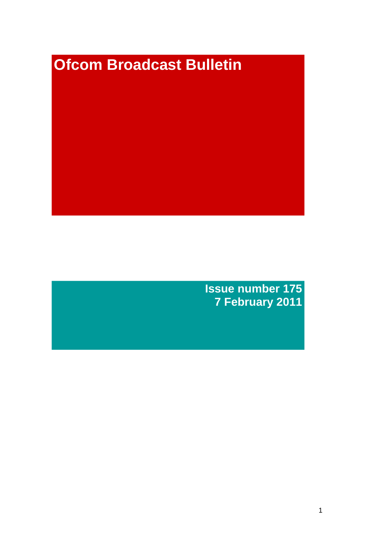# **Ofcom Broadcast Bulletin**

**Issue number 175 7 February 2011**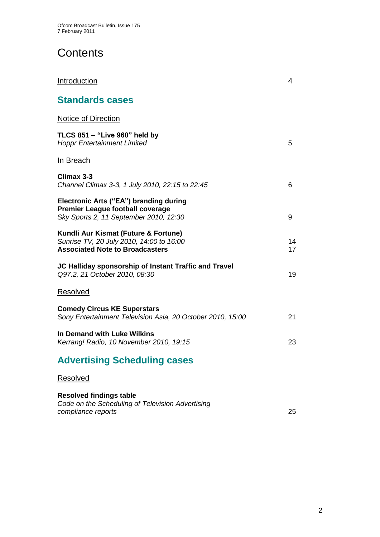# **Contents**

| <b>Standards cases</b>                                                                                                      |          |
|-----------------------------------------------------------------------------------------------------------------------------|----------|
| <b>Notice of Direction</b>                                                                                                  |          |
| TLCS 851 - "Live 960" held by<br><b>Hoppr Entertainment Limited</b>                                                         | 5        |
| In Breach                                                                                                                   |          |
| Climax 3-3<br>Channel Climax 3-3, 1 July 2010, 22:15 to 22:45                                                               | 6        |
| Electronic Arts ("EA") branding during<br><b>Premier League football coverage</b><br>Sky Sports 2, 11 September 2010, 12:30 | 9        |
| Kundli Aur Kismat (Future & Fortune)<br>Sunrise TV, 20 July 2010, 14:00 to 16:00<br><b>Associated Note to Broadcasters</b>  | 14<br>17 |
| JC Halliday sponsorship of Instant Traffic and Travel<br>Q97.2, 21 October 2010, 08:30                                      | 19       |
| Resolved                                                                                                                    |          |
| <b>Comedy Circus KE Superstars</b><br>Sony Entertainment Television Asia, 20 October 2010, 15:00                            | 21       |
| In Demand with Luke Wilkins<br>Kerrang! Radio, 10 November 2010, 19:15                                                      | 23       |
| <b>Advertising Scheduling cases</b>                                                                                         |          |
| Resolved                                                                                                                    |          |

**Introduction** 4

#### **Resolved findings table** *Code on the Scheduling of Television Advertising compliance reports* 25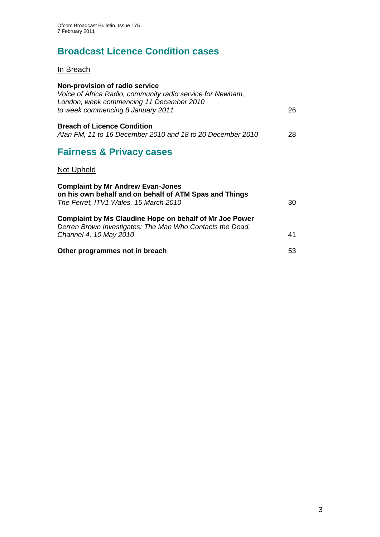# **Broadcast Licence Condition cases**

In Breach

| Non-provision of radio service<br>Voice of Africa Radio, community radio service for Newham,                                                |    |
|---------------------------------------------------------------------------------------------------------------------------------------------|----|
| London, week commencing 11 December 2010<br>to week commencing 8 January 2011                                                               | 26 |
| <b>Breach of Licence Condition</b><br>Afan FM, 11 to 16 December 2010 and 18 to 20 December 2010                                            | 28 |
| <b>Fairness &amp; Privacy cases</b>                                                                                                         |    |
| Not Upheld                                                                                                                                  |    |
| <b>Complaint by Mr Andrew Evan-Jones</b><br>on his own behalf and on behalf of ATM Spas and Things<br>The Ferret, ITV1 Wales, 15 March 2010 | 30 |
| Complaint by Ms Claudine Hope on behalf of Mr Joe Power<br>Derren Brown Investigates: The Man Who Contacts the Dead,                        |    |
| Channel 4, 10 May 2010                                                                                                                      | 41 |
| Other programmes not in breach                                                                                                              | 53 |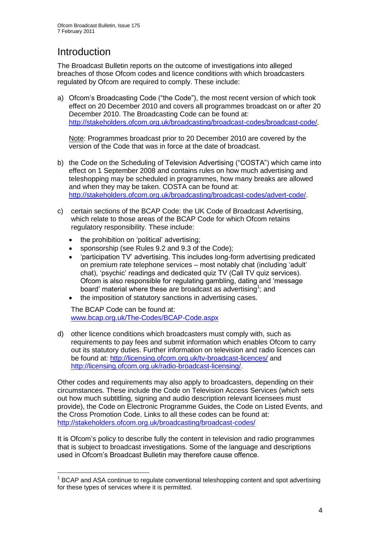# **Introduction**

1

The Broadcast Bulletin reports on the outcome of investigations into alleged breaches of those Ofcom codes and licence conditions with which broadcasters regulated by Ofcom are required to comply. These include:

a) Ofcom"s Broadcasting Code ("the Code"), the most recent version of which took effect on 20 December 2010 and covers all programmes broadcast on or after 20 December 2010. The Broadcasting Code can be found at: [http://stakeholders.ofcom.org.uk/broadcasting/broadcast-codes/broadcast-code/.](http://stakeholders.ofcom.org.uk/broadcasting/broadcast-codes/broadcast-code/)

Note: Programmes broadcast prior to 20 December 2010 are covered by the version of the Code that was in force at the date of broadcast.

- b) the Code on the Scheduling of Television Advertising ("COSTA") which came into effect on 1 September 2008 and contains rules on how much advertising and teleshopping may be scheduled in programmes, how many breaks are allowed and when they may be taken. COSTA can be found at: [http://stakeholders.ofcom.org.uk/broadcasting/broadcast-codes/advert-code/.](http://stakeholders.ofcom.org.uk/broadcasting/broadcast-codes/advert-code/)
- c) certain sections of the BCAP Code: the UK Code of Broadcast Advertising, which relate to those areas of the BCAP Code for which Ofcom retains regulatory responsibility. These include:
	- the prohibition on "political" advertising;
	- sponsorship (see Rules 9.2 and 9.3 of the Code);
	- "participation TV" advertising. This includes long-form advertising predicated on premium rate telephone services – most notably chat (including "adult" chat), "psychic" readings and dedicated quiz TV (Call TV quiz services). Ofcom is also responsible for regulating gambling, dating and "message board' material where these are broadcast as advertising<sup>1</sup>; and
	- the imposition of statutory sanctions in advertising cases.

The BCAP Code can be found at: [www.bcap.org.uk/The-Codes/BCAP-Code.aspx](http://www.bcap.org.uk/The-Codes/BCAP-Code.aspx)

d) other licence conditions which broadcasters must comply with, such as requirements to pay fees and submit information which enables Ofcom to carry out its statutory duties. Further information on television and radio licences can be found at:<http://licensing.ofcom.org.uk/tv-broadcast-licences/> and [http://licensing.ofcom.org.uk/radio-broadcast-licensing/.](http://licensing.ofcom.org.uk/radio-broadcast-licensing/)

Other codes and requirements may also apply to broadcasters, depending on their circumstances. These include the Code on Television Access Services (which sets out how much subtitling, signing and audio description relevant licensees must provide), the Code on Electronic Programme Guides, the Code on Listed Events, and the Cross Promotion Code. Links to all these codes can be found at: <http://stakeholders.ofcom.org.uk/broadcasting/broadcast-codes/>

It is Ofcom"s policy to describe fully the content in television and radio programmes that is subject to broadcast investigations. Some of the language and descriptions used in Ofcom"s Broadcast Bulletin may therefore cause offence.

<sup>&</sup>lt;sup>1</sup> BCAP and ASA continue to regulate conventional teleshopping content and spot advertising for these types of services where it is permitted.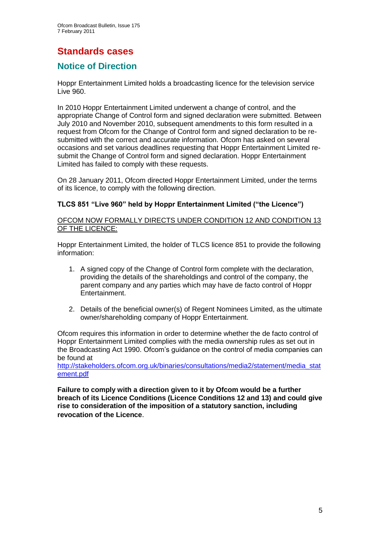# **Standards cases**

## **Notice of Direction**

Hoppr Entertainment Limited holds a broadcasting licence for the television service Live 960.

In 2010 Hoppr Entertainment Limited underwent a change of control, and the appropriate Change of Control form and signed declaration were submitted. Between July 2010 and November 2010, subsequent amendments to this form resulted in a request from Ofcom for the Change of Control form and signed declaration to be resubmitted with the correct and accurate information. Ofcom has asked on several occasions and set various deadlines requesting that Hoppr Entertainment Limited resubmit the Change of Control form and signed declaration. Hoppr Entertainment Limited has failed to comply with these requests.

On 28 January 2011, Ofcom directed Hoppr Entertainment Limited, under the terms of its licence, to comply with the following direction.

#### **TLCS 851 "Live 960" held by Hoppr Entertainment Limited ("the Licence")**

OFCOM NOW FORMALLY DIRECTS UNDER CONDITION 12 AND CONDITION 13 OF THE LICENCE:

Hoppr Entertainment Limited, the holder of TLCS licence 851 to provide the following information:

- 1. A signed copy of the Change of Control form complete with the declaration, providing the details of the shareholdings and control of the company, the parent company and any parties which may have de facto control of Hoppr Entertainment.
- 2. Details of the beneficial owner(s) of Regent Nominees Limited, as the ultimate owner/shareholding company of Hoppr Entertainment.

Ofcom requires this information in order to determine whether the de facto control of Hoppr Entertainment Limited complies with the media ownership rules as set out in the Broadcasting Act 1990. Ofcom"s guidance on the control of media companies can be found at

[http://stakeholders.ofcom.org.uk/binaries/consultations/media2/statement/media\\_stat](http://stakeholders.ofcom.org.uk/binaries/consultations/media2/statement/media_statement.pdf) [ement.pdf](http://stakeholders.ofcom.org.uk/binaries/consultations/media2/statement/media_statement.pdf)

**Failure to comply with a direction given to it by Ofcom would be a further breach of its Licence Conditions (Licence Conditions 12 and 13) and could give rise to consideration of the imposition of a statutory sanction, including revocation of the Licence**.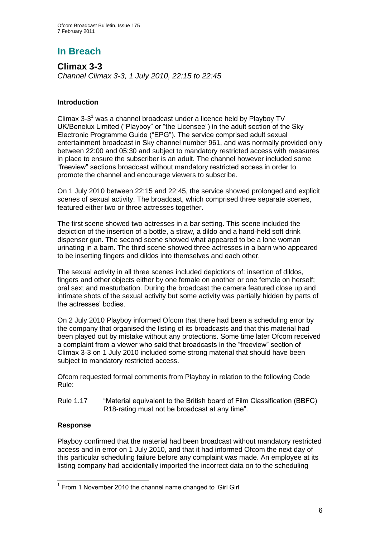# **In Breach**

**Climax 3-3** *Channel Climax 3-3, 1 July 2010, 22:15 to 22:45*

#### **Introduction**

Climax 3-3<sup>1</sup> was a channel broadcast under a licence held by Playboy TV UK/Benelux Limited ("Playboy" or "the Licensee") in the adult section of the Sky Electronic Programme Guide ("EPG"). The service comprised adult sexual entertainment broadcast in Sky channel number 961, and was normally provided only between 22:00 and 05:30 and subject to mandatory restricted access with measures in place to ensure the subscriber is an adult. The channel however included some "freeview" sections broadcast without mandatory restricted access in order to promote the channel and encourage viewers to subscribe.

On 1 July 2010 between 22:15 and 22:45, the service showed prolonged and explicit scenes of sexual activity. The broadcast, which comprised three separate scenes, featured either two or three actresses together.

The first scene showed two actresses in a bar setting. This scene included the depiction of the insertion of a bottle, a straw, a dildo and a hand-held soft drink dispenser gun. The second scene showed what appeared to be a lone woman urinating in a barn. The third scene showed three actresses in a barn who appeared to be inserting fingers and dildos into themselves and each other.

The sexual activity in all three scenes included depictions of: insertion of dildos, fingers and other objects either by one female on another or one female on herself; oral sex; and masturbation. During the broadcast the camera featured close up and intimate shots of the sexual activity but some activity was partially hidden by parts of the actresses" bodies.

On 2 July 2010 Playboy informed Ofcom that there had been a scheduling error by the company that organised the listing of its broadcasts and that this material had been played out by mistake without any protections. Some time later Ofcom received a complaint from a viewer who said that broadcasts in the "freeview" section of Climax 3-3 on 1 July 2010 included some strong material that should have been subject to mandatory restricted access.

Ofcom requested formal comments from Playboy in relation to the following Code Rule:

Rule 1.17 "Material equivalent to the British board of Film Classification (BBFC) R18-rating must not be broadcast at any time".

#### **Response**

1

Playboy confirmed that the material had been broadcast without mandatory restricted access and in error on 1 July 2010, and that it had informed Ofcom the next day of this particular scheduling failure before any complaint was made. An employee at its listing company had accidentally imported the incorrect data on to the scheduling

 $1$  From 1 November 2010 the channel name changed to 'Girl Girl'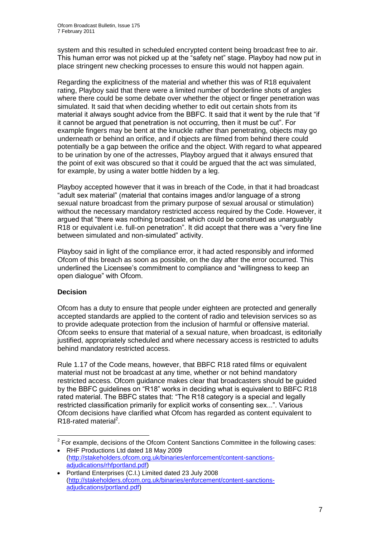system and this resulted in scheduled encrypted content being broadcast free to air. This human error was not picked up at the "safety net" stage. Playboy had now put in place stringent new checking processes to ensure this would not happen again.

Regarding the explicitness of the material and whether this was of R18 equivalent rating, Playboy said that there were a limited number of borderline shots of angles where there could be some debate over whether the object or finger penetration was simulated. It said that when deciding whether to edit out certain shots from its material it always sought advice from the BBFC. It said that it went by the rule that "if it cannot be argued that penetration is not occurring, then it must be cut". For example fingers may be bent at the knuckle rather than penetrating, objects may go underneath or behind an orifice, and if objects are filmed from behind there could potentially be a gap between the orifice and the object. With regard to what appeared to be urination by one of the actresses, Playboy argued that it always ensured that the point of exit was obscured so that it could be argued that the act was simulated, for example, by using a water bottle hidden by a leg.

Playboy accepted however that it was in breach of the Code, in that it had broadcast "adult sex material" (material that contains images and/or language of a strong sexual nature broadcast from the primary purpose of sexual arousal or stimulation) without the necessary mandatory restricted access required by the Code. However, it argued that "there was nothing broadcast which could be construed as unarguably R18 or equivalent i.e. full-on penetration". It did accept that there was a "very fine line between simulated and non-simulated" activity.

Playboy said in light of the compliance error, it had acted responsibly and informed Ofcom of this breach as soon as possible, on the day after the error occurred. This underlined the Licensee"s commitment to compliance and "willingness to keep an open dialogue" with Ofcom.

#### **Decision**

Ofcom has a duty to ensure that people under eighteen are protected and generally accepted standards are applied to the content of radio and television services so as to provide adequate protection from the inclusion of harmful or offensive material. Ofcom seeks to ensure that material of a sexual nature, when broadcast, is editorially justified, appropriately scheduled and where necessary access is restricted to adults behind mandatory restricted access.

Rule 1.17 of the Code means, however, that BBFC R18 rated films or equivalent material must not be broadcast at any time, whether or not behind mandatory restricted access. Ofcom guidance makes clear that broadcasters should be guided by the BBFC guidelines on "R18" works in deciding what is equivalent to BBFC R18 rated material. The BBFC states that: "The R18 category is a special and legally restricted classification primarily for explicit works of consenting sex...". Various Ofcom decisions have clarified what Ofcom has regarded as content equivalent to R18-rated material<sup>2</sup>.

<sup>1</sup>  $2$  For example, decisions of the Ofcom Content Sanctions Committee in the following cases:

RHF Productions Ltd dated 18 May 2009 [\(http://stakeholders.ofcom.org.uk/binaries/enforcement/content-sanctions](http://stakeholders.ofcom.org.uk/binaries/enforcement/content-sanctions-adjudications/rhfportland.pdf)[adjudications/rhfportland.pdf\)](http://stakeholders.ofcom.org.uk/binaries/enforcement/content-sanctions-adjudications/rhfportland.pdf)

Portland Enterprises (C.I.) Limited dated 23 July 2008 [\(http://stakeholders.ofcom.org.uk/binaries/enforcement/content-sanctions](http://stakeholders.ofcom.org.uk/binaries/enforcement/content-sanctions-adjudications/portland.pdf)[adjudications/portland.pdf\)](http://stakeholders.ofcom.org.uk/binaries/enforcement/content-sanctions-adjudications/portland.pdf)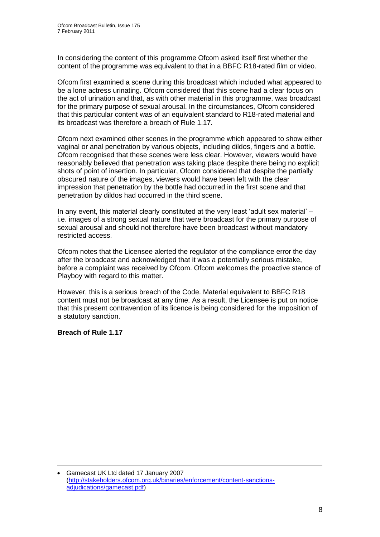In considering the content of this programme Ofcom asked itself first whether the content of the programme was equivalent to that in a BBFC R18-rated film or video.

Ofcom first examined a scene during this broadcast which included what appeared to be a lone actress urinating. Ofcom considered that this scene had a clear focus on the act of urination and that, as with other material in this programme, was broadcast for the primary purpose of sexual arousal. In the circumstances, Ofcom considered that this particular content was of an equivalent standard to R18-rated material and its broadcast was therefore a breach of Rule 1.17.

Ofcom next examined other scenes in the programme which appeared to show either vaginal or anal penetration by various objects, including dildos, fingers and a bottle. Ofcom recognised that these scenes were less clear. However, viewers would have reasonably believed that penetration was taking place despite there being no explicit shots of point of insertion. In particular, Ofcom considered that despite the partially obscured nature of the images, viewers would have been left with the clear impression that penetration by the bottle had occurred in the first scene and that penetration by dildos had occurred in the third scene.

In any event, this material clearly constituted at the very least "adult sex material" – i.e. images of a strong sexual nature that were broadcast for the primary purpose of sexual arousal and should not therefore have been broadcast without mandatory restricted access.

Ofcom notes that the Licensee alerted the regulator of the compliance error the day after the broadcast and acknowledged that it was a potentially serious mistake, before a complaint was received by Ofcom. Ofcom welcomes the proactive stance of Playboy with regard to this matter.

However, this is a serious breach of the Code. Material equivalent to BBFC R18 content must not be broadcast at any time. As a result, the Licensee is put on notice that this present contravention of its licence is being considered for the imposition of a statutory sanction.

#### **Breach of Rule 1.17**

1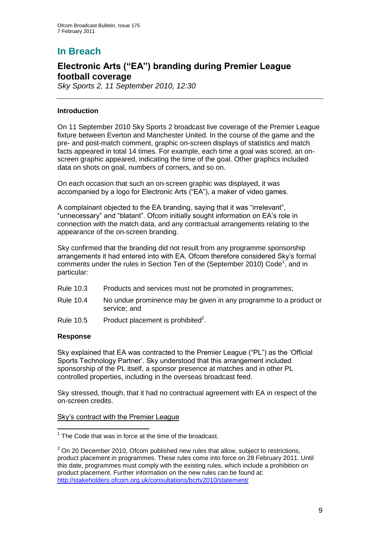# **In Breach**

## **Electronic Arts ("EA") branding during Premier League football coverage**

*Sky Sports 2, 11 September 2010, 12:30*

#### **Introduction**

On 11 September 2010 Sky Sports 2 broadcast live coverage of the Premier League fixture between Everton and Manchester United. In the course of the game and the pre- and post-match comment, graphic on-screen displays of statistics and match facts appeared in total 14 times. For example, each time a goal was scored, an onscreen graphic appeared, indicating the time of the goal. Other graphics included data on shots on goal, numbers of corners, and so on.

On each occasion that such an on-screen graphic was displayed, it was accompanied by a logo for Electronic Arts ("EA"), a maker of video games.

A complainant objected to the EA branding, saying that it was "irrelevant", "unnecessary" and "blatant". Ofcom initially sought information on EA"s role in connection with the match data, and any contractual arrangements relating to the appearance of the on-screen branding.

Sky confirmed that the branding did not result from any programme sponsorship arrangements it had entered into with EA. Ofcom therefore considered Sky"s formal comments under the rules in Section Ten of the (September 2010) Code<sup>1</sup>, and in particular:

- Rule 10.3 Products and services must not be promoted in programmes;
- Rule 10.4 No undue prominence may be given in any programme to a product or service; and
- Rule 10.5 Product placement is prohibited<sup>2</sup>.

#### **Response**

Sky explained that EA was contracted to the Premier League ("PL") as the "Official Sports Technology Partner". Sky understood that this arrangement included sponsorship of the PL itself, a sponsor presence at matches and in other PL controlled properties, including in the overseas broadcast feed.

Sky stressed, though, that it had no contractual agreement with EA in respect of the on-screen credits.

#### Sky"s contract with the Premier League

<sup>1</sup>  $1$  The Code that was in force at the time of the broadcast.

 $2$  On 20 December 2010, Ofcom published new rules that allow, subject to restrictions, product placement in programmes. These rules come into force on 28 February 2011. Until this date, programmes must comply with the existing rules, which include a prohibition on product placement. Further information on the new rules can be found at: <http://stakeholders.ofcom.org.uk/consultations/bcrtv2010/statement/>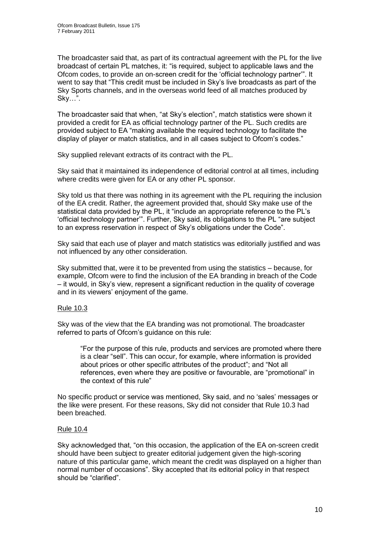The broadcaster said that, as part of its contractual agreement with the PL for the live broadcast of certain PL matches, it: "is required, subject to applicable laws and the Ofcom codes, to provide an on-screen credit for the "official technology partner"". It went to say that "This credit must be included in Sky"s live broadcasts as part of the Sky Sports channels, and in the overseas world feed of all matches produced by Sky…".

The broadcaster said that when, "at Sky"s election", match statistics were shown it provided a credit for EA as official technology partner of the PL. Such credits are provided subject to EA "making available the required technology to facilitate the display of player or match statistics, and in all cases subject to Ofcom"s codes."

Sky supplied relevant extracts of its contract with the PL.

Sky said that it maintained its independence of editorial control at all times, including where credits were given for EA or any other PL sponsor.

Sky told us that there was nothing in its agreement with the PL requiring the inclusion of the EA credit. Rather, the agreement provided that, should Sky make use of the statistical data provided by the PL, it "include an appropriate reference to the PL"s "official technology partner"". Further, Sky said, its obligations to the PL "are subject to an express reservation in respect of Sky"s obligations under the Code".

Sky said that each use of player and match statistics was editorially justified and was not influenced by any other consideration.

Sky submitted that, were it to be prevented from using the statistics – because, for example, Ofcom were to find the inclusion of the EA branding in breach of the Code – it would, in Sky"s view, represent a significant reduction in the quality of coverage and in its viewers' enjoyment of the game.

#### Rule 10.3

Sky was of the view that the EA branding was not promotional. The broadcaster referred to parts of Ofcom"s guidance on this rule:

"For the purpose of this rule, products and services are promoted where there is a clear "sell". This can occur, for example, where information is provided about prices or other specific attributes of the product"; and "Not all references, even where they are positive or favourable, are "promotional" in the context of this rule"

No specific product or service was mentioned, Sky said, and no "sales" messages or the like were present. For these reasons, Sky did not consider that Rule 10.3 had been breached.

#### Rule 10.4

Sky acknowledged that, "on this occasion, the application of the EA on-screen credit should have been subject to greater editorial judgement given the high-scoring nature of this particular game, which meant the credit was displayed on a higher than normal number of occasions". Sky accepted that its editorial policy in that respect should be "clarified".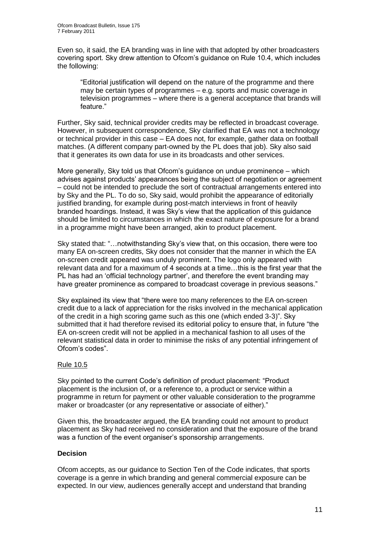Even so, it said, the EA branding was in line with that adopted by other broadcasters covering sport. Sky drew attention to Ofcom"s guidance on Rule 10.4, which includes the following:

"Editorial justification will depend on the nature of the programme and there may be certain types of programmes – e.g. sports and music coverage in television programmes – where there is a general acceptance that brands will feature."

Further, Sky said, technical provider credits may be reflected in broadcast coverage. However, in subsequent correspondence, Sky clarified that EA was not a technology or technical provider in this case – EA does not, for example, gather data on football matches. (A different company part-owned by the PL does that job). Sky also said that it generates its own data for use in its broadcasts and other services.

More generally, Sky told us that Ofcom"s guidance on undue prominence – which advises against products" appearances being the subject of negotiation or agreement – could not be intended to preclude the sort of contractual arrangements entered into by Sky and the PL. To do so, Sky said, would prohibit the appearance of editorially justified branding, for example during post-match interviews in front of heavily branded hoardings. Instead, it was Sky"s view that the application of this guidance should be limited to circumstances in which the exact nature of exposure for a brand in a programme might have been arranged, akin to product placement.

Sky stated that: "…notwithstanding Sky"s view that, on this occasion, there were too many EA on-screen credits, Sky does not consider that the manner in which the EA on-screen credit appeared was unduly prominent. The logo only appeared with relevant data and for a maximum of 4 seconds at a time…this is the first year that the PL has had an 'official technology partner', and therefore the event branding may have greater prominence as compared to broadcast coverage in previous seasons."

Sky explained its view that "there were too many references to the EA on-screen credit due to a lack of appreciation for the risks involved in the mechanical application of the credit in a high scoring game such as this one (which ended 3-3)". Sky submitted that it had therefore revised its editorial policy to ensure that, in future "the EA on-screen credit will not be applied in a mechanical fashion to all uses of the relevant statistical data in order to minimise the risks of any potential infringement of Ofcom"s codes".

#### Rule 10.5

Sky pointed to the current Code"s definition of product placement: "Product placement is the inclusion of, or a reference to, a product or service within a programme in return for payment or other valuable consideration to the programme maker or broadcaster (or any representative or associate of either)."

Given this, the broadcaster argued, the EA branding could not amount to product placement as Sky had received no consideration and that the exposure of the brand was a function of the event organiser's sponsorship arrangements.

#### **Decision**

Ofcom accepts, as our guidance to Section Ten of the Code indicates, that sports coverage is a genre in which branding and general commercial exposure can be expected. In our view, audiences generally accept and understand that branding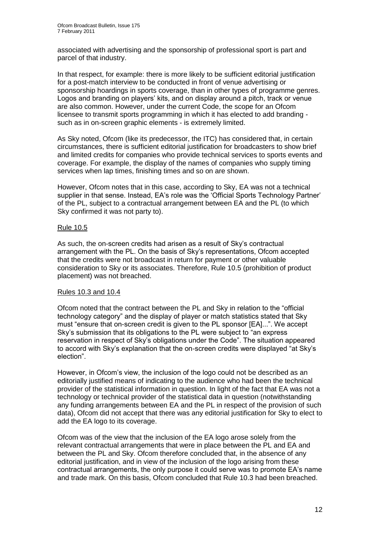associated with advertising and the sponsorship of professional sport is part and parcel of that industry.

In that respect, for example: there is more likely to be sufficient editorial justification for a post-match interview to be conducted in front of venue advertising or sponsorship hoardings in sports coverage, than in other types of programme genres. Logos and branding on players" kits, and on display around a pitch, track or venue are also common. However, under the current Code, the scope for an Ofcom licensee to transmit sports programming in which it has elected to add branding such as in on-screen graphic elements - is extremely limited.

As Sky noted, Ofcom (like its predecessor, the ITC) has considered that, in certain circumstances, there is sufficient editorial justification for broadcasters to show brief and limited credits for companies who provide technical services to sports events and coverage. For example, the display of the names of companies who supply timing services when lap times, finishing times and so on are shown.

However, Ofcom notes that in this case, according to Sky, EA was not a technical supplier in that sense. Instead, EA"s role was the "Official Sports Technology Partner" of the PL, subject to a contractual arrangement between EA and the PL (to which Sky confirmed it was not party to).

#### Rule 10.5

As such, the on-screen credits had arisen as a result of Sky"s contractual arrangement with the PL. On the basis of Sky"s representations, Ofcom accepted that the credits were not broadcast in return for payment or other valuable consideration to Sky or its associates. Therefore, Rule 10.5 (prohibition of product placement) was not breached.

#### Rules 10.3 and 10.4

Ofcom noted that the contract between the PL and Sky in relation to the "official technology category" and the display of player or match statistics stated that Sky must "ensure that on-screen credit is given to the PL sponsor [EA]...". We accept Sky"s submission that its obligations to the PL were subject to "an express reservation in respect of Sky"s obligations under the Code". The situation appeared to accord with Sky"s explanation that the on-screen credits were displayed "at Sky"s election".

However, in Ofcom"s view, the inclusion of the logo could not be described as an editorially justified means of indicating to the audience who had been the technical provider of the statistical information in question. In light of the fact that EA was not a technology or technical provider of the statistical data in question (notwithstanding any funding arrangements between EA and the PL in respect of the provision of such data), Ofcom did not accept that there was any editorial justification for Sky to elect to add the EA logo to its coverage.

Ofcom was of the view that the inclusion of the EA logo arose solely from the relevant contractual arrangements that were in place between the PL and EA and between the PL and Sky. Ofcom therefore concluded that, in the absence of any editorial justification, and in view of the inclusion of the logo arising from these contractual arrangements, the only purpose it could serve was to promote EA"s name and trade mark. On this basis, Ofcom concluded that Rule 10.3 had been breached.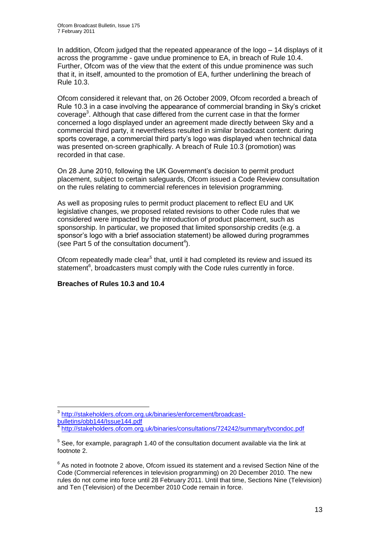In addition, Ofcom judged that the repeated appearance of the logo – 14 displays of it across the programme - gave undue prominence to EA, in breach of Rule 10.4. Further, Ofcom was of the view that the extent of this undue prominence was such that it, in itself, amounted to the promotion of EA, further underlining the breach of Rule 10.3.

Ofcom considered it relevant that, on 26 October 2009, Ofcom recorded a breach of Rule 10.3 in a case involving the appearance of commercial branding in Sky"s cricket coverage<sup>3</sup>. Although that case differed from the current case in that the former concerned a logo displayed under an agreement made directly between Sky and a commercial third party, it nevertheless resulted in similar broadcast content: during sports coverage, a commercial third party"s logo was displayed when technical data was presented on-screen graphically. A breach of Rule 10.3 (promotion) was recorded in that case.

On 28 June 2010, following the UK Government"s decision to permit product placement, subject to certain safeguards, Ofcom issued a Code Review consultation on the rules relating to commercial references in television programming.

As well as proposing rules to permit product placement to reflect EU and UK legislative changes, we proposed related revisions to other Code rules that we considered were impacted by the introduction of product placement, such as sponsorship. In particular, we proposed that limited sponsorship credits (e.g. a sponsor"s logo with a brief association statement) be allowed during programmes (see Part 5 of the consultation document<sup>4</sup>).

Ofcom repeatedly made clear<sup>5</sup> that, until it had completed its review and issued its statement<sup>6</sup>, broadcasters must comply with the Code rules currently in force.

#### **Breaches of Rules 10.3 and 10.4**

<sup>1</sup> <sup>3</sup> [http://stakeholders.ofcom.org.uk/binaries/enforcement/broadcast](http://stakeholders.ofcom.org.uk/binaries/enforcement/broadcast-bulletins/obb144/Issue144.pdf)[bulletins/obb144/Issue144.pdf](http://stakeholders.ofcom.org.uk/binaries/enforcement/broadcast-bulletins/obb144/Issue144.pdf)

<sup>&</sup>lt;sup>4</sup> <http://stakeholders.ofcom.org.uk/binaries/consultations/724242/summary/tvcondoc.pdf>

 $5$  See, for example, paragraph 1.40 of the consultation document available via the link at footnote 2.

 $6$  As noted in footnote 2 above, Ofcom issued its statement and a revised Section Nine of the Code (Commercial references in television programming) on 20 December 2010. The new rules do not come into force until 28 February 2011. Until that time, Sections Nine (Television) and Ten (Television) of the December 2010 Code remain in force.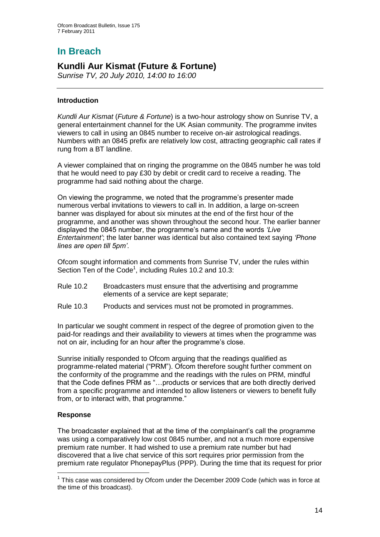# **In Breach**

## **Kundli Aur Kismat (Future & Fortune)**

*Sunrise TV, 20 July 2010, 14:00 to 16:00*

#### **Introduction**

*Kundli Aur Kismat* (*Future & Fortune*) is a two-hour astrology show on Sunrise TV, a general entertainment channel for the UK Asian community. The programme invites viewers to call in using an 0845 number to receive on-air astrological readings. Numbers with an 0845 prefix are relatively low cost, attracting geographic call rates if rung from a BT landline.

A viewer complained that on ringing the programme on the 0845 number he was told that he would need to pay £30 by debit or credit card to receive a reading. The programme had said nothing about the charge.

On viewing the programme, we noted that the programme"s presenter made numerous verbal invitations to viewers to call in. In addition, a large on-screen banner was displayed for about six minutes at the end of the first hour of the programme, and another was shown throughout the second hour. The earlier banner displayed the 0845 number, the programme"s name and the words *"Live Entertainment"*; the later banner was identical but also contained text saying *"Phone lines are open till 5pm"*.

Ofcom sought information and comments from Sunrise TV, under the rules within Section Ten of the Code<sup>1</sup>, including Rules 10.2 and 10.3:

- Rule 10.2 Broadcasters must ensure that the advertising and programme elements of a service are kept separate;
- Rule 10.3 Products and services must not be promoted in programmes.

In particular we sought comment in respect of the degree of promotion given to the paid-for readings and their availability to viewers at times when the programme was not on air, including for an hour after the programme's close.

Sunrise initially responded to Ofcom arguing that the readings qualified as programme-related material ("PRM"). Ofcom therefore sought further comment on the conformity of the programme and the readings with the rules on PRM, mindful that the Code defines PRM as "…products or services that are both directly derived from a specific programme and intended to allow listeners or viewers to benefit fully from, or to interact with, that programme."

#### **Response**

1

The broadcaster explained that at the time of the complainant"s call the programme was using a comparatively low cost 0845 number, and not a much more expensive premium rate number. It had wished to use a premium rate number but had discovered that a live chat service of this sort requires prior permission from the premium rate regulator PhonepayPlus (PPP). During the time that its request for prior

 $1$  This case was considered by Ofcom under the December 2009 Code (which was in force at the time of this broadcast).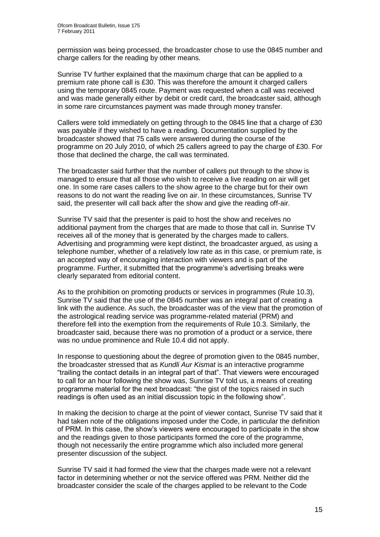permission was being processed, the broadcaster chose to use the 0845 number and charge callers for the reading by other means.

Sunrise TV further explained that the maximum charge that can be applied to a premium rate phone call is £30. This was therefore the amount it charged callers using the temporary 0845 route. Payment was requested when a call was received and was made generally either by debit or credit card, the broadcaster said, although in some rare circumstances payment was made through money transfer.

Callers were told immediately on getting through to the 0845 line that a charge of £30 was payable if they wished to have a reading. Documentation supplied by the broadcaster showed that 75 calls were answered during the course of the programme on 20 July 2010, of which 25 callers agreed to pay the charge of £30. For those that declined the charge, the call was terminated.

The broadcaster said further that the number of callers put through to the show is managed to ensure that all those who wish to receive a live reading on air will get one. In some rare cases callers to the show agree to the charge but for their own reasons to do not want the reading live on air. In these circumstances, Sunrise TV said, the presenter will call back after the show and give the reading off-air.

Sunrise TV said that the presenter is paid to host the show and receives no additional payment from the charges that are made to those that call in. Sunrise TV receives all of the money that is generated by the charges made to callers. Advertising and programming were kept distinct, the broadcaster argued, as using a telephone number, whether of a relatively low rate as in this case, or premium rate, is an accepted way of encouraging interaction with viewers and is part of the programme. Further, it submitted that the programme's advertising breaks were clearly separated from editorial content.

As to the prohibition on promoting products or services in programmes (Rule 10.3), Sunrise TV said that the use of the 0845 number was an integral part of creating a link with the audience. As such, the broadcaster was of the view that the promotion of the astrological reading service was programme-related material (PRM) and therefore fell into the exemption from the requirements of Rule 10.3. Similarly, the broadcaster said, because there was no promotion of a product or a service, there was no undue prominence and Rule 10.4 did not apply.

In response to questioning about the degree of promotion given to the 0845 number, the broadcaster stressed that as *Kundli Aur Kismat* is an interactive programme "trailing the contact details in an integral part of that". That viewers were encouraged to call for an hour following the show was, Sunrise TV told us, a means of creating programme material for the next broadcast: "the gist of the topics raised in such readings is often used as an initial discussion topic in the following show".

In making the decision to charge at the point of viewer contact, Sunrise TV said that it had taken note of the obligations imposed under the Code, in particular the definition of PRM. In this case, the show"s viewers were encouraged to participate in the show and the readings given to those participants formed the core of the programme, though not necessarily the entire programme which also included more general presenter discussion of the subject.

Sunrise TV said it had formed the view that the charges made were not a relevant factor in determining whether or not the service offered was PRM. Neither did the broadcaster consider the scale of the charges applied to be relevant to the Code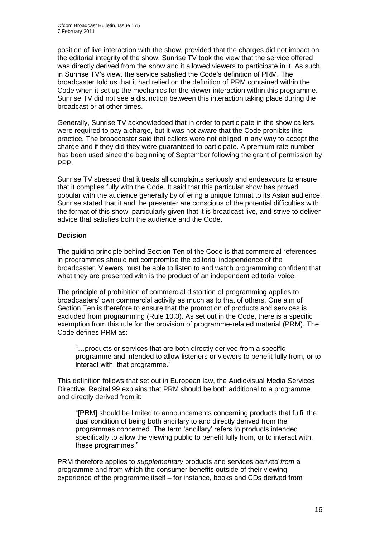position of live interaction with the show, provided that the charges did not impact on the editorial integrity of the show. Sunrise TV took the view that the service offered was directly derived from the show and it allowed viewers to participate in it. As such, in Sunrise TV"s view, the service satisfied the Code"s definition of PRM. The broadcaster told us that it had relied on the definition of PRM contained within the Code when it set up the mechanics for the viewer interaction within this programme. Sunrise TV did not see a distinction between this interaction taking place during the broadcast or at other times.

Generally, Sunrise TV acknowledged that in order to participate in the show callers were required to pay a charge, but it was not aware that the Code prohibits this practice. The broadcaster said that callers were not obliged in any way to accept the charge and if they did they were guaranteed to participate. A premium rate number has been used since the beginning of September following the grant of permission by PPP.

Sunrise TV stressed that it treats all complaints seriously and endeavours to ensure that it complies fully with the Code. It said that this particular show has proved popular with the audience generally by offering a unique format to its Asian audience. Sunrise stated that it and the presenter are conscious of the potential difficulties with the format of this show, particularly given that it is broadcast live, and strive to deliver advice that satisfies both the audience and the Code.

#### **Decision**

The guiding principle behind Section Ten of the Code is that commercial references in programmes should not compromise the editorial independence of the broadcaster. Viewers must be able to listen to and watch programming confident that what they are presented with is the product of an independent editorial voice.

The principle of prohibition of commercial distortion of programming applies to broadcasters" own commercial activity as much as to that of others. One aim of Section Ten is therefore to ensure that the promotion of products and services is excluded from programming (Rule 10.3). As set out in the Code, there is a specific exemption from this rule for the provision of programme-related material (PRM). The Code defines PRM as:

"…products or services that are both directly derived from a specific programme and intended to allow listeners or viewers to benefit fully from, or to interact with, that programme."

This definition follows that set out in European law, the Audiovisual Media Services Directive. Recital 99 explains that PRM should be both additional to a programme and directly derived from it:

"[PRM] should be limited to announcements concerning products that fulfil the dual condition of being both ancillary to and directly derived from the programmes concerned. The term "ancillary" refers to products intended specifically to allow the viewing public to benefit fully from, or to interact with, these programmes."

PRM therefore applies to *supplementary* products and services *derived from* a programme and from which the consumer benefits outside of their viewing experience of the programme itself – for instance, books and CDs derived from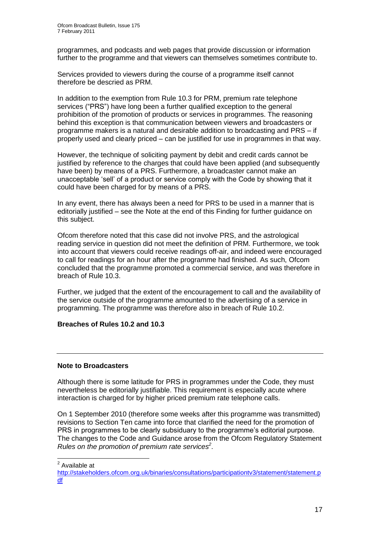programmes, and podcasts and web pages that provide discussion or information further to the programme and that viewers can themselves sometimes contribute to.

Services provided to viewers during the course of a programme itself cannot therefore be descried as PRM.

In addition to the exemption from Rule 10.3 for PRM, premium rate telephone services ("PRS") have long been a further qualified exception to the general prohibition of the promotion of products or services in programmes. The reasoning behind this exception is that communication between viewers and broadcasters or programme makers is a natural and desirable addition to broadcasting and PRS – if properly used and clearly priced – can be justified for use in programmes in that way.

However, the technique of soliciting payment by debit and credit cards cannot be justified by reference to the charges that could have been applied (and subsequently have been) by means of a PRS. Furthermore, a broadcaster cannot make an unacceptable "sell" of a product or service comply with the Code by showing that it could have been charged for by means of a PRS.

In any event, there has always been a need for PRS to be used in a manner that is editorially justified – see the Note at the end of this Finding for further guidance on this subject.

Ofcom therefore noted that this case did not involve PRS, and the astrological reading service in question did not meet the definition of PRM. Furthermore, we took into account that viewers could receive readings off-air, and indeed were encouraged to call for readings for an hour after the programme had finished. As such, Ofcom concluded that the programme promoted a commercial service, and was therefore in breach of Rule 10.3.

Further, we judged that the extent of the encouragement to call and the availability of the service outside of the programme amounted to the advertising of a service in programming. The programme was therefore also in breach of Rule 10.2.

#### **Breaches of Rules 10.2 and 10.3**

#### **Note to Broadcasters**

Although there is some latitude for PRS in programmes under the Code, they must nevertheless be editorially justifiable. This requirement is especially acute where interaction is charged for by higher priced premium rate telephone calls.

On 1 September 2010 (therefore some weeks after this programme was transmitted) revisions to Section Ten came into force that clarified the need for the promotion of PRS in programmes to be clearly subsiduary to the programme"s editorial purpose. The changes to the Code and Guidance arose from the Ofcom Regulatory Statement *Rules on the promotion of premium rate services<sup>2</sup>* .

 2 Available at

[http://stakeholders.ofcom.org.uk/binaries/consultations/participationtv3/statement/statement.p](http://stakeholders.ofcom.org.uk/binaries/consultations/participationtv3/statement/statement.pdf) [df](http://stakeholders.ofcom.org.uk/binaries/consultations/participationtv3/statement/statement.pdf)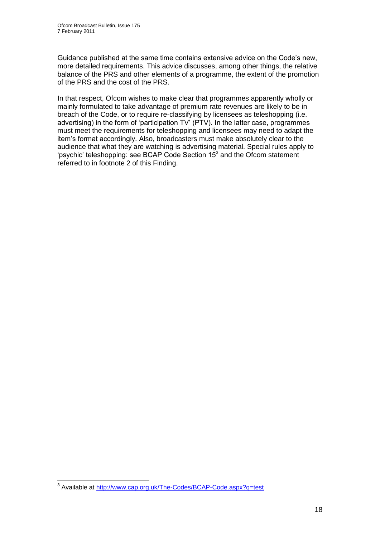Guidance published at the same time contains extensive advice on the Code"s new, more detailed requirements. This advice discusses, among other things, the relative balance of the PRS and other elements of a programme, the extent of the promotion of the PRS and the cost of the PRS.

In that respect, Ofcom wishes to make clear that programmes apparently wholly or mainly formulated to take advantage of premium rate revenues are likely to be in breach of the Code, or to require re-classifying by licensees as teleshopping (i.e. advertising) in the form of "participation TV" (PTV). In the latter case, programmes must meet the requirements for teleshopping and licensees may need to adapt the item"s format accordingly. Also, broadcasters must make absolutely clear to the audience that what they are watching is advertising material. Special rules apply to 'psychic' teleshopping: see BCAP Code Section  $15<sup>3</sup>$  and the Ofcom statement referred to in footnote 2 of this Finding.

 3 Available at<http://www.cap.org.uk/The-Codes/BCAP-Code.aspx?q=test>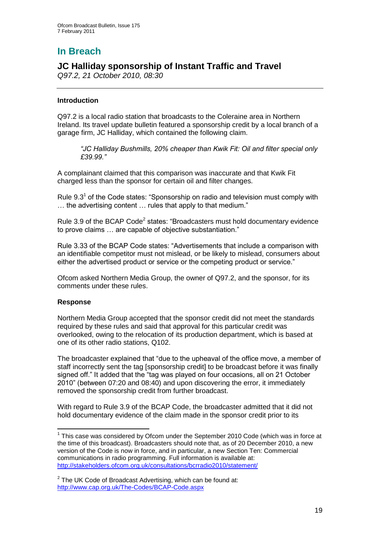# **In Breach**

## **JC Halliday sponsorship of Instant Traffic and Travel**

*Q97.2, 21 October 2010, 08:30*

#### **Introduction**

Q97.2 is a local radio station that broadcasts to the Coleraine area in Northern Ireland. Its travel update bulletin featured a sponsorship credit by a local branch of a garage firm, JC Halliday, which contained the following claim.

*"JC Halliday Bushmills, 20% cheaper than Kwik Fit: Oil and filter special only £39.99."*

A complainant claimed that this comparison was inaccurate and that Kwik Fit charged less than the sponsor for certain oil and filter changes.

Rule  $9.3<sup>1</sup>$  of the Code states: "Sponsorship on radio and television must comply with … the advertising content … rules that apply to that medium."

Rule 3.9 of the BCAP Code<sup>2</sup> states: "Broadcasters must hold documentary evidence to prove claims … are capable of objective substantiation."

Rule 3.33 of the BCAP Code states: "Advertisements that include a comparison with an identifiable competitor must not mislead, or be likely to mislead, consumers about either the advertised product or service or the competing product or service."

Ofcom asked Northern Media Group, the owner of Q97.2, and the sponsor, for its comments under these rules.

#### **Response**

1

Northern Media Group accepted that the sponsor credit did not meet the standards required by these rules and said that approval for this particular credit was overlooked, owing to the relocation of its production department, which is based at one of its other radio stations, Q102.

The broadcaster explained that "due to the upheaval of the office move, a member of staff incorrectly sent the tag [sponsorship credit] to be broadcast before it was finally signed off." It added that the "tag was played on four occasions, all on 21 October 2010" (between 07:20 and 08:40) and upon discovering the error, it immediately removed the sponsorship credit from further broadcast.

With regard to Rule 3.9 of the BCAP Code, the broadcaster admitted that it did not hold documentary evidence of the claim made in the sponsor credit prior to its

 $1$  This case was considered by Ofcom under the September 2010 Code (which was in force at the time of this broadcast). Broadcasters should note that, as of 20 December 2010, a new version of the Code is now in force, and in particular, a new Section Ten: Commercial communications in radio programming. Full information is available at: <http://stakeholders.ofcom.org.uk/consultations/bcrradio2010/statement/>

 $2$  The UK Code of Broadcast Advertising, which can be found at: <http://www.cap.org.uk/The-Codes/BCAP-Code.aspx>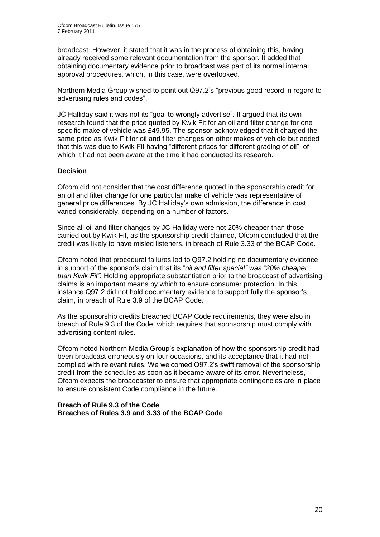broadcast. However, it stated that it was in the process of obtaining this, having already received some relevant documentation from the sponsor. It added that obtaining documentary evidence prior to broadcast was part of its normal internal approval procedures, which, in this case, were overlooked.

Northern Media Group wished to point out Q97.2"s "previous good record in regard to advertising rules and codes".

JC Halliday said it was not its "goal to wrongly advertise". It argued that its own research found that the price quoted by Kwik Fit for an oil and filter change for one specific make of vehicle was £49.95. The sponsor acknowledged that it charged the same price as Kwik Fit for oil and filter changes on other makes of vehicle but added that this was due to Kwik Fit having "different prices for different grading of oil", of which it had not been aware at the time it had conducted its research.

#### **Decision**

Ofcom did not consider that the cost difference quoted in the sponsorship credit for an oil and filter change for one particular make of vehicle was representative of general price differences. By JC Halliday"s own admission, the difference in cost varied considerably, depending on a number of factors.

Since all oil and filter changes by JC Halliday were not 20% cheaper than those carried out by Kwik Fit, as the sponsorship credit claimed, Ofcom concluded that the credit was likely to have misled listeners, in breach of Rule 3.33 of the BCAP Code.

Ofcom noted that procedural failures led to Q97.2 holding no documentary evidence in support of the sponsor"s claim that its "*oil and filter special" was* "*20% cheaper than Kwik Fit".* Holding appropriate substantiation prior to the broadcast of advertising claims is an important means by which to ensure consumer protection. In this instance Q97.2 did not hold documentary evidence to support fully the sponsor"s claim, in breach of Rule 3.9 of the BCAP Code.

As the sponsorship credits breached BCAP Code requirements, they were also in breach of Rule 9.3 of the Code, which requires that sponsorship must comply with advertising content rules.

Ofcom noted Northern Media Group"s explanation of how the sponsorship credit had been broadcast erroneously on four occasions, and its acceptance that it had not complied with relevant rules. We welcomed Q97.2"s swift removal of the sponsorship credit from the schedules as soon as it became aware of its error. Nevertheless, Ofcom expects the broadcaster to ensure that appropriate contingencies are in place to ensure consistent Code compliance in the future.

#### **Breach of Rule 9.3 of the Code Breaches of Rules 3.9 and 3.33 of the BCAP Code**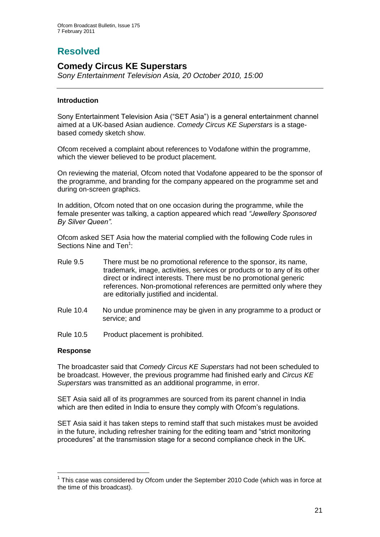# **Resolved**

## **Comedy Circus KE Superstars**

*Sony Entertainment Television Asia, 20 October 2010, 15:00*

#### **Introduction**

Sony Entertainment Television Asia ("SET Asia") is a general entertainment channel aimed at a UK-based Asian audience. *Comedy Circus KE Superstars* is a stagebased comedy sketch show.

Ofcom received a complaint about references to Vodafone within the programme, which the viewer believed to be product placement.

On reviewing the material, Ofcom noted that Vodafone appeared to be the sponsor of the programme, and branding for the company appeared on the programme set and during on-screen graphics.

In addition, Ofcom noted that on one occasion during the programme, while the female presenter was talking, a caption appeared which read *"Jewellery Sponsored By Silver Queen".* 

Ofcom asked SET Asia how the material complied with the following Code rules in Sections Nine and Ten<sup>1</sup>:

- Rule 9.5 There must be no promotional reference to the sponsor, its name, trademark, image, activities, services or products or to any of its other direct or indirect interests. There must be no promotional generic references. Non-promotional references are permitted only where they are editorially justified and incidental.
- Rule 10.4 No undue prominence may be given in any programme to a product or service; and
- Rule 10.5 Product placement is prohibited.

#### **Response**

1

The broadcaster said that *Comedy Circus KE Superstars* had not been scheduled to be broadcast. However, the previous programme had finished early and *Circus KE Superstars* was transmitted as an additional programme, in error.

SET Asia said all of its programmes are sourced from its parent channel in India which are then edited in India to ensure they comply with Ofcom's regulations.

SET Asia said it has taken steps to remind staff that such mistakes must be avoided in the future, including refresher training for the editing team and "strict monitoring procedures" at the transmission stage for a second compliance check in the UK.

 $1$  This case was considered by Ofcom under the September 2010 Code (which was in force at the time of this broadcast).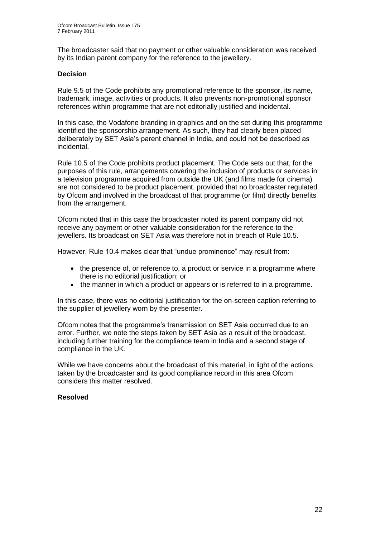The broadcaster said that no payment or other valuable consideration was received by its Indian parent company for the reference to the jewellery.

#### **Decision**

Rule 9.5 of the Code prohibits any promotional reference to the sponsor, its name, trademark, image, activities or products. It also prevents non-promotional sponsor references within programme that are not editorially justified and incidental.

In this case, the Vodafone branding in graphics and on the set during this programme identified the sponsorship arrangement. As such, they had clearly been placed deliberately by SET Asia"s parent channel in India, and could not be described as incidental.

Rule 10.5 of the Code prohibits product placement. The Code sets out that, for the purposes of this rule, arrangements covering the inclusion of products or services in a television programme acquired from outside the UK (and films made for cinema) are not considered to be product placement, provided that no broadcaster regulated by Ofcom and involved in the broadcast of that programme (or film) directly benefits from the arrangement.

Ofcom noted that in this case the broadcaster noted its parent company did not receive any payment or other valuable consideration for the reference to the jewellers. Its broadcast on SET Asia was therefore not in breach of Rule 10.5.

However, Rule 10.4 makes clear that "undue prominence" may result from:

- the presence of, or reference to, a product or service in a programme where there is no editorial justification; or
- the manner in which a product or appears or is referred to in a programme.

In this case, there was no editorial justification for the on-screen caption referring to the supplier of jewellery worn by the presenter.

Ofcom notes that the programme"s transmission on SET Asia occurred due to an error. Further, we note the steps taken by SET Asia as a result of the broadcast, including further training for the compliance team in India and a second stage of compliance in the UK.

While we have concerns about the broadcast of this material, in light of the actions taken by the broadcaster and its good compliance record in this area Ofcom considers this matter resolved.

#### **Resolved**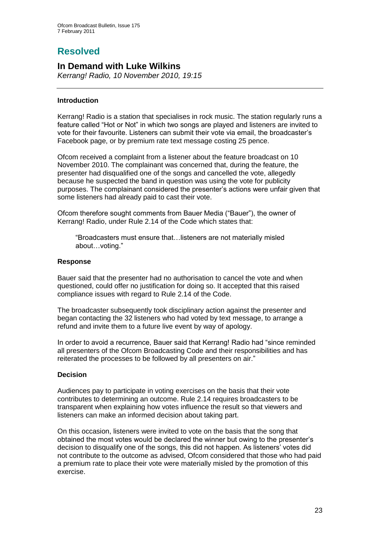# **Resolved**

## **In Demand with Luke Wilkins**

*Kerrang! Radio, 10 November 2010, 19:15*

#### **Introduction**

Kerrang! Radio is a station that specialises in rock music. The station regularly runs a feature called "Hot or Not" in which two songs are played and listeners are invited to vote for their favourite. Listeners can submit their vote via email, the broadcaster"s Facebook page, or by premium rate text message costing 25 pence.

Ofcom received a complaint from a listener about the feature broadcast on 10 November 2010. The complainant was concerned that, during the feature, the presenter had disqualified one of the songs and cancelled the vote, allegedly because he suspected the band in question was using the vote for publicity purposes. The complainant considered the presenter"s actions were unfair given that some listeners had already paid to cast their vote.

Ofcom therefore sought comments from Bauer Media ("Bauer"), the owner of Kerrang! Radio, under Rule 2.14 of the Code which states that:

"Broadcasters must ensure that…listeners are not materially misled about…voting."

#### **Response**

Bauer said that the presenter had no authorisation to cancel the vote and when questioned, could offer no justification for doing so. It accepted that this raised compliance issues with regard to Rule 2.14 of the Code.

The broadcaster subsequently took disciplinary action against the presenter and began contacting the 32 listeners who had voted by text message, to arrange a refund and invite them to a future live event by way of apology.

In order to avoid a recurrence, Bauer said that Kerrang! Radio had "since reminded all presenters of the Ofcom Broadcasting Code and their responsibilities and has reiterated the processes to be followed by all presenters on air."

#### **Decision**

Audiences pay to participate in voting exercises on the basis that their vote contributes to determining an outcome. Rule 2.14 requires broadcasters to be transparent when explaining how votes influence the result so that viewers and listeners can make an informed decision about taking part.

On this occasion, listeners were invited to vote on the basis that the song that obtained the most votes would be declared the winner but owing to the presenter"s decision to disqualify one of the songs, this did not happen. As listeners" votes did not contribute to the outcome as advised, Ofcom considered that those who had paid a premium rate to place their vote were materially misled by the promotion of this exercise.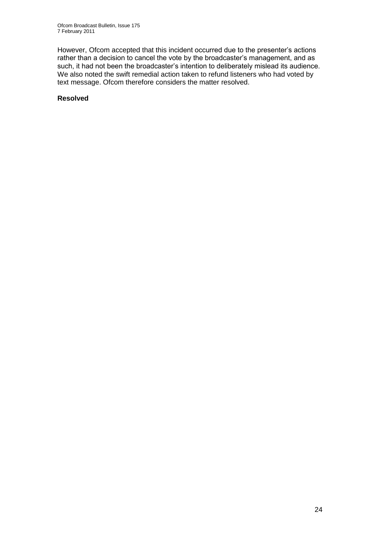However, Ofcom accepted that this incident occurred due to the presenter's actions rather than a decision to cancel the vote by the broadcaster"s management, and as such, it had not been the broadcaster's intention to deliberately mislead its audience. We also noted the swift remedial action taken to refund listeners who had voted by text message. Ofcom therefore considers the matter resolved.

#### **Resolved**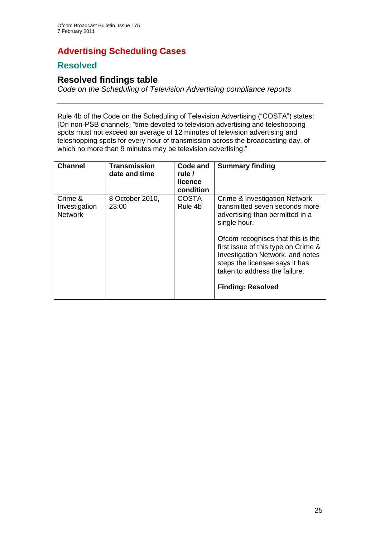# **Advertising Scheduling Cases**

## **Resolved**

## **Resolved findings table**

*Code on the Scheduling of Television Advertising compliance reports*

Rule 4b of the Code on the Scheduling of Television Advertising ("COSTA") states: [On non-PSB channels] "time devoted to television advertising and teleshopping spots must not exceed an average of 12 minutes of television advertising and teleshopping spots for every hour of transmission across the broadcasting day, of which no more than 9 minutes may be television advertising."

| <b>Channel</b>                             | <b>Transmission</b><br>date and time | Code and<br>rule /<br>licence<br>condition | <b>Summary finding</b>                                                                                                                                                                                                                                                                                                            |
|--------------------------------------------|--------------------------------------|--------------------------------------------|-----------------------------------------------------------------------------------------------------------------------------------------------------------------------------------------------------------------------------------------------------------------------------------------------------------------------------------|
| Crime &<br>Investigation<br><b>Network</b> | 8 October 2010,<br>23:00             | <b>COSTA</b><br>Rule 4b                    | Crime & Investigation Network<br>transmitted seven seconds more<br>advertising than permitted in a<br>single hour.<br>Ofcom recognises that this is the<br>first issue of this type on Crime &<br>Investigation Network, and notes<br>steps the licensee says it has<br>taken to address the failure.<br><b>Finding: Resolved</b> |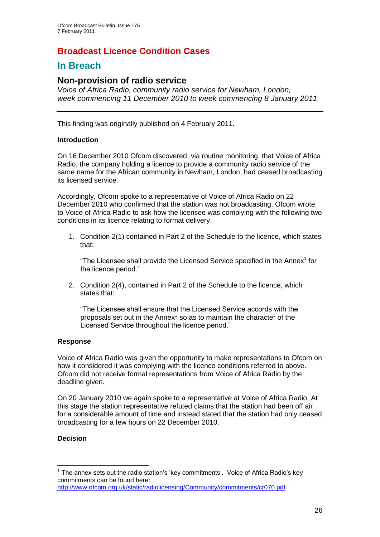## **Broadcast Licence Condition Cases**

## **In Breach**

#### **Non-provision of radio service**

*Voice of Africa Radio, community radio service for Newham, London, week commencing 11 December 2010 to week commencing 8 January 2011*

This finding was originally published on 4 February 2011.

#### **Introduction**

On 16 December 2010 Ofcom discovered, via routine monitoring, that Voice of Africa Radio, the company holding a licence to provide a community radio service of the same name for the African community in Newham, London, had ceased broadcasting its licensed service.

Accordingly, Ofcom spoke to a representative of Voice of Africa Radio on 22 December 2010 who confirmed that the station was not broadcasting. Ofcom wrote to Voice of Africa Radio to ask how the licensee was complying with the following two conditions in its licence relating to format delivery.

1. Condition 2(1) contained in Part 2 of the Schedule to the licence, which states that:

"The Licensee shall provide the Licensed Service specified in the Annex<sup>1</sup> for the licence period."

2. Condition 2(4), contained in Part 2 of the Schedule to the licence, which states that:

"The Licensee shall ensure that the Licensed Service accords with the proposals set out in the Annex\* so as to maintain the character of the Licensed Service throughout the licence period."

#### **Response**

Voice of Africa Radio was given the opportunity to make representations to Ofcom on how it considered it was complying with the licence conditions referred to above. Ofcom did not receive formal representations from Voice of Africa Radio by the deadline given.

On 20 January 2010 we again spoke to a representative at Voice of Africa Radio. At this stage the station representative refuted claims that the station had been off air for a considerable amount of time and instead stated that the station had only ceased broadcasting for a few hours on 22 December 2010.

#### **Decision**

1

<sup>&</sup>lt;sup>1</sup> The annex sets out the radio station's 'key commitments'. Voice of Africa Radio's key commitments can be found here:

<http://www.ofcom.org.uk/static/radiolicensing/Community/commitments/cr070.pdf>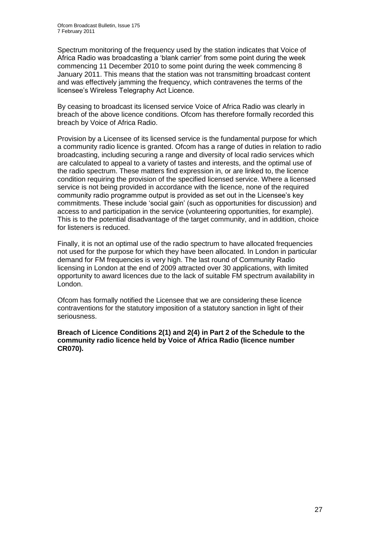Spectrum monitoring of the frequency used by the station indicates that Voice of Africa Radio was broadcasting a "blank carrier" from some point during the week commencing 11 December 2010 to some point during the week commencing 8 January 2011. This means that the station was not transmitting broadcast content and was effectively jamming the frequency, which contravenes the terms of the licensee"s Wireless Telegraphy Act Licence.

By ceasing to broadcast its licensed service Voice of Africa Radio was clearly in breach of the above licence conditions. Ofcom has therefore formally recorded this breach by Voice of Africa Radio.

Provision by a Licensee of its licensed service is the fundamental purpose for which a community radio licence is granted. Ofcom has a range of duties in relation to radio broadcasting, including securing a range and diversity of local radio services which are calculated to appeal to a variety of tastes and interests, and the optimal use of the radio spectrum. These matters find expression in, or are linked to, the licence condition requiring the provision of the specified licensed service. Where a licensed service is not being provided in accordance with the licence, none of the required community radio programme output is provided as set out in the Licensee's key commitments. These include "social gain" (such as opportunities for discussion) and access to and participation in the service (volunteering opportunities, for example). This is to the potential disadvantage of the target community, and in addition, choice for listeners is reduced.

Finally, it is not an optimal use of the radio spectrum to have allocated frequencies not used for the purpose for which they have been allocated. In London in particular demand for FM frequencies is very high. The last round of Community Radio licensing in London at the end of 2009 attracted over 30 applications, with limited opportunity to award licences due to the lack of suitable FM spectrum availability in London.

Ofcom has formally notified the Licensee that we are considering these licence contraventions for the statutory imposition of a statutory sanction in light of their seriousness.

**Breach of Licence Conditions 2(1) and 2(4) in Part 2 of the Schedule to the community radio licence held by Voice of Africa Radio (licence number CR070).**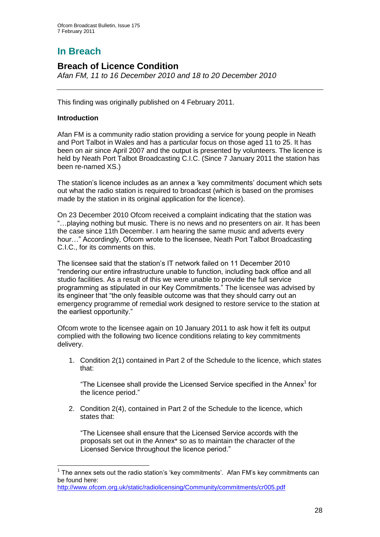# **In Breach**

## **Breach of Licence Condition**

*Afan FM, 11 to 16 December 2010 and 18 to 20 December 2010*

This finding was originally published on 4 February 2011.

#### **Introduction**

1

Afan FM is a community radio station providing a service for young people in Neath and Port Talbot in Wales and has a particular focus on those aged 11 to 25. It has been on air since April 2007 and the output is presented by volunteers. The licence is held by Neath Port Talbot Broadcasting C.I.C. (Since 7 January 2011 the station has been re-named XS.)

The station"s licence includes as an annex a "key commitments" document which sets out what the radio station is required to broadcast (which is based on the promises made by the station in its original application for the licence).

On 23 December 2010 Ofcom received a complaint indicating that the station was "…playing nothing but music. There is no news and no presenters on air. It has been the case since 11th December. I am hearing the same music and adverts every hour…" Accordingly, Ofcom wrote to the licensee, Neath Port Talbot Broadcasting C.I.C., for its comments on this.

The licensee said that the station"s IT network failed on 11 December 2010 "rendering our entire infrastructure unable to function, including back office and all studio facilities. As a result of this we were unable to provide the full service programming as stipulated in our Key Commitments." The licensee was advised by its engineer that "the only feasible outcome was that they should carry out an emergency programme of remedial work designed to restore service to the station at the earliest opportunity."

Ofcom wrote to the licensee again on 10 January 2011 to ask how it felt its output complied with the following two licence conditions relating to key commitments delivery.

1. Condition 2(1) contained in Part 2 of the Schedule to the licence, which states that:

"The Licensee shall provide the Licensed Service specified in the Annex $<sup>1</sup>$  for</sup> the licence period."

2. Condition 2(4), contained in Part 2 of the Schedule to the licence, which states that:

"The Licensee shall ensure that the Licensed Service accords with the proposals set out in the Annex\* so as to maintain the character of the Licensed Service throughout the licence period."

 $1$  The annex sets out the radio station's 'key commitments'. Afan FM's key commitments can be found here:

<http://www.ofcom.org.uk/static/radiolicensing/Community/commitments/cr005.pdf>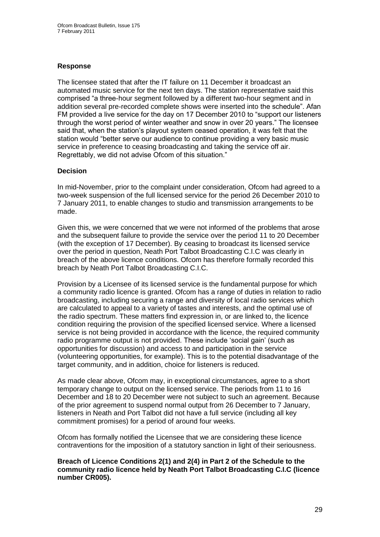#### **Response**

The licensee stated that after the IT failure on 11 December it broadcast an automated music service for the next ten days. The station representative said this comprised "a three-hour segment followed by a different two-hour segment and in addition several pre-recorded complete shows were inserted into the schedule". Afan FM provided a live service for the day on 17 December 2010 to "support our listeners through the worst period of winter weather and snow in over 20 years." The licensee said that, when the station"s playout system ceased operation, it was felt that the station would "better serve our audience to continue providing a very basic music service in preference to ceasing broadcasting and taking the service off air. Regrettably, we did not advise Ofcom of this situation."

#### **Decision**

In mid-November, prior to the complaint under consideration, Ofcom had agreed to a two-week suspension of the full licensed service for the period 26 December 2010 to 7 January 2011, to enable changes to studio and transmission arrangements to be made.

Given this, we were concerned that we were not informed of the problems that arose and the subsequent failure to provide the service over the period 11 to 20 December (with the exception of 17 December). By ceasing to broadcast its licensed service over the period in question, Neath Port Talbot Broadcasting C.I.C was clearly in breach of the above licence conditions. Ofcom has therefore formally recorded this breach by Neath Port Talbot Broadcasting C.I.C.

Provision by a Licensee of its licensed service is the fundamental purpose for which a community radio licence is granted. Ofcom has a range of duties in relation to radio broadcasting, including securing a range and diversity of local radio services which are calculated to appeal to a variety of tastes and interests, and the optimal use of the radio spectrum. These matters find expression in, or are linked to, the licence condition requiring the provision of the specified licensed service. Where a licensed service is not being provided in accordance with the licence, the required community radio programme output is not provided. These include "social gain" (such as opportunities for discussion) and access to and participation in the service (volunteering opportunities, for example). This is to the potential disadvantage of the target community, and in addition, choice for listeners is reduced.

As made clear above, Ofcom may, in exceptional circumstances, agree to a short temporary change to output on the licensed service. The periods from 11 to 16 December and 18 to 20 December were not subject to such an agreement. Because of the prior agreement to suspend normal output from 26 December to 7 January, listeners in Neath and Port Talbot did not have a full service (including all key commitment promises) for a period of around four weeks.

Ofcom has formally notified the Licensee that we are considering these licence contraventions for the imposition of a statutory sanction in light of their seriousness.

**Breach of Licence Conditions 2(1) and 2(4) in Part 2 of the Schedule to the community radio licence held by Neath Port Talbot Broadcasting C.I.C (licence number CR005).**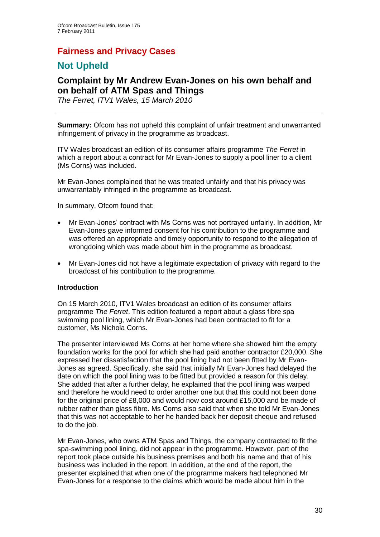## **Fairness and Privacy Cases**

## **Not Upheld**

## **Complaint by Mr Andrew Evan-Jones on his own behalf and on behalf of ATM Spas and Things**

*The Ferret, ITV1 Wales, 15 March 2010*

**Summary:** Ofcom has not upheld this complaint of unfair treatment and unwarranted infringement of privacy in the programme as broadcast.

ITV Wales broadcast an edition of its consumer affairs programme *The Ferret* in which a report about a contract for Mr Evan-Jones to supply a pool liner to a client (Ms Corns) was included.

Mr Evan-Jones complained that he was treated unfairly and that his privacy was unwarrantably infringed in the programme as broadcast.

In summary, Ofcom found that:

- Mr Evan-Jones" contract with Ms Corns was not portrayed unfairly. In addition, Mr Evan-Jones gave informed consent for his contribution to the programme and was offered an appropriate and timely opportunity to respond to the allegation of wrongdoing which was made about him in the programme as broadcast.
- Mr Evan-Jones did not have a legitimate expectation of privacy with regard to the broadcast of his contribution to the programme.

#### **Introduction**

On 15 March 2010, ITV1 Wales broadcast an edition of its consumer affairs programme *The Ferret*. This edition featured a report about a glass fibre spa swimming pool lining, which Mr Evan-Jones had been contracted to fit for a customer, Ms Nichola Corns.

The presenter interviewed Ms Corns at her home where she showed him the empty foundation works for the pool for which she had paid another contractor £20,000. She expressed her dissatisfaction that the pool lining had not been fitted by Mr Evan-Jones as agreed. Specifically, she said that initially Mr Evan-Jones had delayed the date on which the pool lining was to be fitted but provided a reason for this delay. She added that after a further delay, he explained that the pool lining was warped and therefore he would need to order another one but that this could not been done for the original price of £8,000 and would now cost around £15,000 and be made of rubber rather than glass fibre. Ms Corns also said that when she told Mr Evan-Jones that this was not acceptable to her he handed back her deposit cheque and refused to do the job.

Mr Evan-Jones, who owns ATM Spas and Things, the company contracted to fit the spa-swimming pool lining, did not appear in the programme. However, part of the report took place outside his business premises and both his name and that of his business was included in the report. In addition, at the end of the report, the presenter explained that when one of the programme makers had telephoned Mr Evan-Jones for a response to the claims which would be made about him in the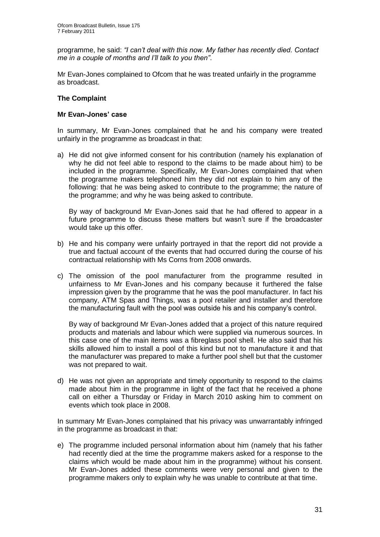programme, he said: *"I can"t deal with this now. My father has recently died. Contact me in a couple of months and I"ll talk to you then"*.

Mr Evan-Jones complained to Ofcom that he was treated unfairly in the programme as broadcast.

#### **The Complaint**

#### **Mr Evan-Jones' case**

In summary, Mr Evan-Jones complained that he and his company were treated unfairly in the programme as broadcast in that:

a) He did not give informed consent for his contribution (namely his explanation of why he did not feel able to respond to the claims to be made about him) to be included in the programme. Specifically, Mr Evan-Jones complained that when the programme makers telephoned him they did not explain to him any of the following: that he was being asked to contribute to the programme; the nature of the programme; and why he was being asked to contribute.

By way of background Mr Evan-Jones said that he had offered to appear in a future programme to discuss these matters but wasn't sure if the broadcaster would take up this offer.

- b) He and his company were unfairly portrayed in that the report did not provide a true and factual account of the events that had occurred during the course of his contractual relationship with Ms Corns from 2008 onwards.
- c) The omission of the pool manufacturer from the programme resulted in unfairness to Mr Evan-Jones and his company because it furthered the false impression given by the programme that he was the pool manufacturer. In fact his company, ATM Spas and Things, was a pool retailer and installer and therefore the manufacturing fault with the pool was outside his and his company"s control.

By way of background Mr Evan-Jones added that a project of this nature required products and materials and labour which were supplied via numerous sources. In this case one of the main items was a fibreglass pool shell. He also said that his skills allowed him to install a pool of this kind but not to manufacture it and that the manufacturer was prepared to make a further pool shell but that the customer was not prepared to wait.

d) He was not given an appropriate and timely opportunity to respond to the claims made about him in the programme in light of the fact that he received a phone call on either a Thursday or Friday in March 2010 asking him to comment on events which took place in 2008.

In summary Mr Evan-Jones complained that his privacy was unwarrantably infringed in the programme as broadcast in that:

e) The programme included personal information about him (namely that his father had recently died at the time the programme makers asked for a response to the claims which would be made about him in the programme) without his consent. Mr Evan-Jones added these comments were very personal and given to the programme makers only to explain why he was unable to contribute at that time.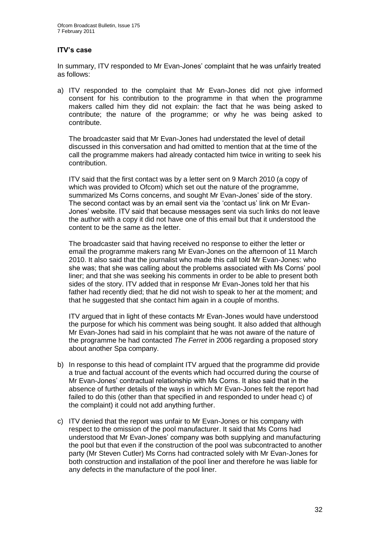#### **ITV's case**

In summary, ITV responded to Mr Evan-Jones" complaint that he was unfairly treated as follows:

a) ITV responded to the complaint that Mr Evan-Jones did not give informed consent for his contribution to the programme in that when the programme makers called him they did not explain: the fact that he was being asked to contribute; the nature of the programme; or why he was being asked to contribute.

The broadcaster said that Mr Evan-Jones had understated the level of detail discussed in this conversation and had omitted to mention that at the time of the call the programme makers had already contacted him twice in writing to seek his contribution.

ITV said that the first contact was by a letter sent on 9 March 2010 (a copy of which was provided to Ofcom) which set out the nature of the programme, summarized Ms Corns concerns, and sought Mr Evan-Jones" side of the story. The second contact was by an email sent via the 'contact us' link on Mr Evan-Jones" website. ITV said that because messages sent via such links do not leave the author with a copy it did not have one of this email but that it understood the content to be the same as the letter.

The broadcaster said that having received no response to either the letter or email the programme makers rang Mr Evan-Jones on the afternoon of 11 March 2010. It also said that the journalist who made this call told Mr Evan-Jones: who she was; that she was calling about the problems associated with Ms Corns" pool liner; and that she was seeking his comments in order to be able to present both sides of the story. ITV added that in response Mr Evan-Jones told her that his father had recently died; that he did not wish to speak to her at the moment; and that he suggested that she contact him again in a couple of months.

ITV argued that in light of these contacts Mr Evan-Jones would have understood the purpose for which his comment was being sought. It also added that although Mr Evan-Jones had said in his complaint that he was not aware of the nature of the programme he had contacted *The Ferret* in 2006 regarding a proposed story about another Spa company.

- b) In response to this head of complaint ITV argued that the programme did provide a true and factual account of the events which had occurred during the course of Mr Evan-Jones" contractual relationship with Ms Corns. It also said that in the absence of further details of the ways in which Mr Evan-Jones felt the report had failed to do this (other than that specified in and responded to under head c) of the complaint) it could not add anything further.
- c) ITV denied that the report was unfair to Mr Evan-Jones or his company with respect to the omission of the pool manufacturer. It said that Ms Corns had understood that Mr Evan-Jones" company was both supplying and manufacturing the pool but that even if the construction of the pool was subcontracted to another party (Mr Steven Cutler) Ms Corns had contracted solely with Mr Evan-Jones for both construction and installation of the pool liner and therefore he was liable for any defects in the manufacture of the pool liner.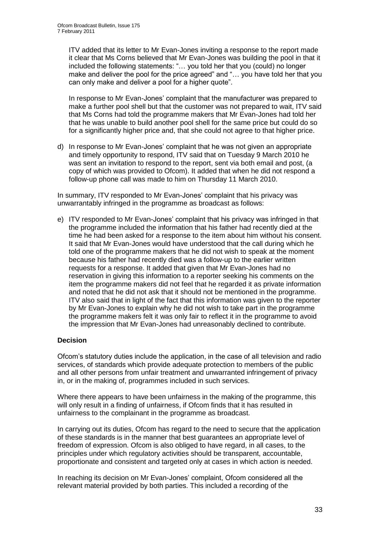ITV added that its letter to Mr Evan-Jones inviting a response to the report made it clear that Ms Corns believed that Mr Evan-Jones was building the pool in that it included the following statements: "… you told her that you (could) no longer make and deliver the pool for the price agreed" and "… you have told her that you can only make and deliver a pool for a higher quote".

In response to Mr Evan-Jones" complaint that the manufacturer was prepared to make a further pool shell but that the customer was not prepared to wait, ITV said that Ms Corns had told the programme makers that Mr Evan-Jones had told her that he was unable to build another pool shell for the same price but could do so for a significantly higher price and, that she could not agree to that higher price.

d) In response to Mr Evan-Jones" complaint that he was not given an appropriate and timely opportunity to respond, ITV said that on Tuesday 9 March 2010 he was sent an invitation to respond to the report, sent via both email and post, (a copy of which was provided to Ofcom). It added that when he did not respond a follow-up phone call was made to him on Thursday 11 March 2010.

In summary, ITV responded to Mr Evan-Jones" complaint that his privacy was unwarrantably infringed in the programme as broadcast as follows:

e) ITV responded to Mr Evan-Jones' complaint that his privacy was infringed in that the programme included the information that his father had recently died at the time he had been asked for a response to the item about him without his consent. It said that Mr Evan-Jones would have understood that the call during which he told one of the programme makers that he did not wish to speak at the moment because his father had recently died was a follow-up to the earlier written requests for a response. It added that given that Mr Evan-Jones had no reservation in giving this information to a reporter seeking his comments on the item the programme makers did not feel that he regarded it as private information and noted that he did not ask that it should not be mentioned in the programme. ITV also said that in light of the fact that this information was given to the reporter by Mr Evan-Jones to explain why he did not wish to take part in the programme the programme makers felt it was only fair to reflect it in the programme to avoid the impression that Mr Evan-Jones had unreasonably declined to contribute.

#### **Decision**

Ofcom"s statutory duties include the application, in the case of all television and radio services, of standards which provide adequate protection to members of the public and all other persons from unfair treatment and unwarranted infringement of privacy in, or in the making of, programmes included in such services.

Where there appears to have been unfairness in the making of the programme, this will only result in a finding of unfairness, if Ofcom finds that it has resulted in unfairness to the complainant in the programme as broadcast.

In carrying out its duties, Ofcom has regard to the need to secure that the application of these standards is in the manner that best guarantees an appropriate level of freedom of expression. Ofcom is also obliged to have regard, in all cases, to the principles under which regulatory activities should be transparent, accountable, proportionate and consistent and targeted only at cases in which action is needed.

In reaching its decision on Mr Evan-Jones" complaint, Ofcom considered all the relevant material provided by both parties. This included a recording of the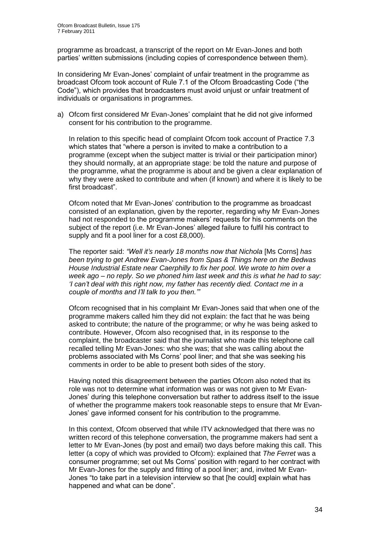programme as broadcast, a transcript of the report on Mr Evan-Jones and both parties" written submissions (including copies of correspondence between them).

In considering Mr Evan-Jones" complaint of unfair treatment in the programme as broadcast Ofcom took account of Rule 7.1 of the Ofcom Broadcasting Code ("the Code"), which provides that broadcasters must avoid unjust or unfair treatment of individuals or organisations in programmes.

a) Ofcom first considered Mr Evan-Jones' complaint that he did not give informed consent for his contribution to the programme.

In relation to this specific head of complaint Ofcom took account of Practice 7.3 which states that "where a person is invited to make a contribution to a programme (except when the subject matter is trivial or their participation minor) they should normally, at an appropriate stage: be told the nature and purpose of the programme, what the programme is about and be given a clear explanation of why they were asked to contribute and when (if known) and where it is likely to be first broadcast".

Ofcom noted that Mr Evan-Jones" contribution to the programme as broadcast consisted of an explanation, given by the reporter, regarding why Mr Evan-Jones had not responded to the programme makers' requests for his comments on the subject of the report (i.e. Mr Evan-Jones" alleged failure to fulfil his contract to supply and fit a pool liner for a cost £8,000).

The reporter said: *"Well it"s nearly 18 months now that Nichola* [Ms Corns] *has been trying to get Andrew Evan-Jones from Spas & Things here on the Bedwas House Industrial Estate near Caerphilly to fix her pool. We wrote to him over a week ago – no reply. So we phoned him last week and this is what he had to say: "I can"t deal with this right now, my father has recently died. Contact me in a couple of months and I"ll talk to you then.""*

Ofcom recognised that in his complaint Mr Evan-Jones said that when one of the programme makers called him they did not explain: the fact that he was being asked to contribute; the nature of the programme; or why he was being asked to contribute. However, Ofcom also recognised that, in its response to the complaint, the broadcaster said that the journalist who made this telephone call recalled telling Mr Evan-Jones: who she was; that she was calling about the problems associated with Ms Corns" pool liner; and that she was seeking his comments in order to be able to present both sides of the story.

Having noted this disagreement between the parties Ofcom also noted that its role was not to determine what information was or was not given to Mr Evan-Jones" during this telephone conversation but rather to address itself to the issue of whether the programme makers took reasonable steps to ensure that Mr Evan-Jones" gave informed consent for his contribution to the programme.

In this context, Ofcom observed that while ITV acknowledged that there was no written record of this telephone conversation, the programme makers had sent a letter to Mr Evan-Jones (by post and email) two days before making this call. This letter (a copy of which was provided to Ofcom): explained that *The Ferret* was a consumer programme; set out Ms Corns" position with regard to her contract with Mr Evan-Jones for the supply and fitting of a pool liner; and, invited Mr Evan-Jones "to take part in a television interview so that [he could] explain what has happened and what can be done".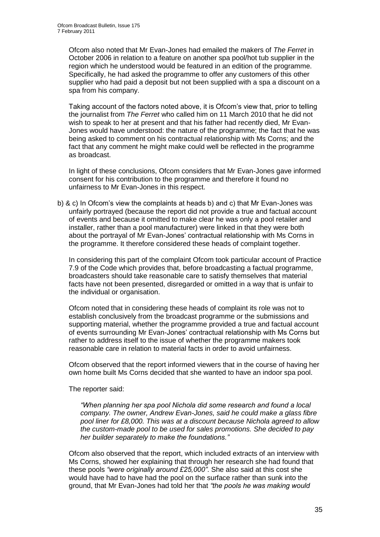Ofcom also noted that Mr Evan-Jones had emailed the makers of *The Ferret* in October 2006 in relation to a feature on another spa pool/hot tub supplier in the region which he understood would be featured in an edition of the programme. Specifically, he had asked the programme to offer any customers of this other supplier who had paid a deposit but not been supplied with a spa a discount on a spa from his company.

Taking account of the factors noted above, it is Ofcom"s view that, prior to telling the journalist from *The Ferret* who called him on 11 March 2010 that he did not wish to speak to her at present and that his father had recently died, Mr Evan-Jones would have understood: the nature of the programme; the fact that he was being asked to comment on his contractual relationship with Ms Corns; and the fact that any comment he might make could well be reflected in the programme as broadcast.

In light of these conclusions, Ofcom considers that Mr Evan-Jones gave informed consent for his contribution to the programme and therefore it found no unfairness to Mr Evan-Jones in this respect.

b) & c) In Ofcom"s view the complaints at heads b) and c) that Mr Evan-Jones was unfairly portrayed (because the report did not provide a true and factual account of events and because it omitted to make clear he was only a pool retailer and installer, rather than a pool manufacturer) were linked in that they were both about the portrayal of Mr Evan-Jones" contractual relationship with Ms Corns in the programme. It therefore considered these heads of complaint together.

In considering this part of the complaint Ofcom took particular account of Practice 7.9 of the Code which provides that, before broadcasting a factual programme, broadcasters should take reasonable care to satisfy themselves that material facts have not been presented, disregarded or omitted in a way that is unfair to the individual or organisation.

Ofcom noted that in considering these heads of complaint its role was not to establish conclusively from the broadcast programme or the submissions and supporting material, whether the programme provided a true and factual account of events surrounding Mr Evan-Jones" contractual relationship with Ms Corns but rather to address itself to the issue of whether the programme makers took reasonable care in relation to material facts in order to avoid unfairness.

Ofcom observed that the report informed viewers that in the course of having her own home built Ms Corns decided that she wanted to have an indoor spa pool.

The reporter said:

*"When planning her spa pool Nichola did some research and found a local company. The owner, Andrew Evan-Jones, said he could make a glass fibre pool liner for £8,000. This was at a discount because Nichola agreed to allow the custom-made pool to be used for sales promotions. She decided to pay her builder separately to make the foundations."*

Ofcom also observed that the report, which included extracts of an interview with Ms Corns, showed her explaining that through her research she had found that these pools *"were originally around £25,000"*. She also said at this cost she would have had to have had the pool on the surface rather than sunk into the ground, that Mr Evan-Jones had told her that *"the pools he was making would*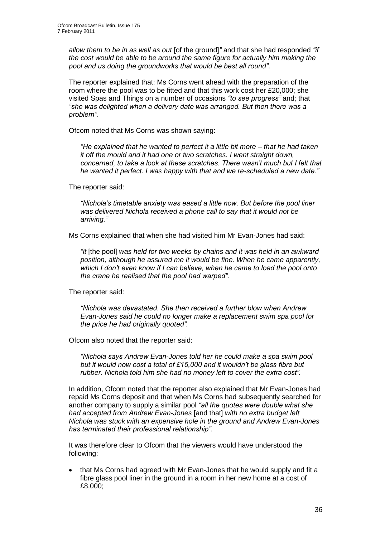*allow them to be in as well as out* [of the ground]*"* and that she had responded *"if the cost would be able to be around the same figure for actually him making the pool and us doing the groundworks that would be best all round"*.

The reporter explained that: Ms Corns went ahead with the preparation of the room where the pool was to be fitted and that this work cost her £20,000; she visited Spas and Things on a number of occasions *"to see progress"* and; that *"she was delighted when a delivery date was arranged. But then there was a problem".* 

Ofcom noted that Ms Corns was shown saying:

*"He explained that he wanted to perfect it a little bit more – that he had taken it off the mould and it had one or two scratches. I went straight down, concerned, to take a look at these scratches. There wasn"t much but I felt that he wanted it perfect. I was happy with that and we re-scheduled a new date."*

The reporter said:

*"Nichola"s timetable anxiety was eased a little now. But before the pool liner was delivered Nichola received a phone call to say that it would not be arriving."*

Ms Corns explained that when she had visited him Mr Evan-Jones had said:

*"it* [the pool] *was held for two weeks by chains and it was held in an awkward position, although he assured me it would be fine. When he came apparently, which I don"t even know if I can believe, when he came to load the pool onto the crane he realised that the pool had warped".*

The reporter said:

*"Nichola was devastated. She then received a further blow when Andrew Evan-Jones said he could no longer make a replacement swim spa pool for the price he had originally quoted".*

Ofcom also noted that the reporter said:

*"Nichola says Andrew Evan-Jones told her he could make a spa swim pool but it would now cost a total of £15,000 and it wouldn"t be glass fibre but rubber. Nichola told him she had no money left to cover the extra cost".* 

In addition, Ofcom noted that the reporter also explained that Mr Evan-Jones had repaid Ms Corns deposit and that when Ms Corns had subsequently searched for another company to supply a similar pool *"all the quotes were double what she had accepted from Andrew Evan-Jones* [and that] *with no extra budget left Nichola was stuck with an expensive hole in the ground and Andrew Evan-Jones has terminated their professional relationship"*.

It was therefore clear to Ofcom that the viewers would have understood the following:

• that Ms Corns had agreed with Mr Evan-Jones that he would supply and fit a fibre glass pool liner in the ground in a room in her new home at a cost of £8,000;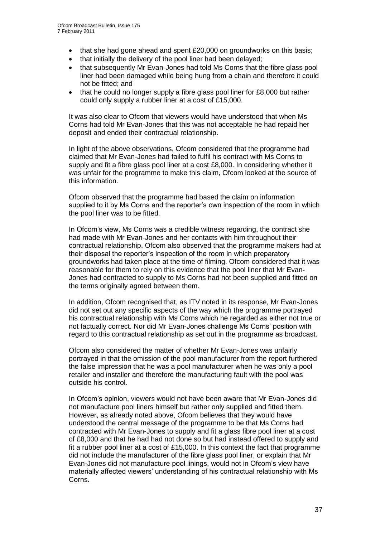- that she had gone ahead and spent £20,000 on groundworks on this basis;
- that initially the delivery of the pool liner had been delayed;
- that subsequently Mr Evan-Jones had told Ms Corns that the fibre glass pool liner had been damaged while being hung from a chain and therefore it could not be fitted; and
- that he could no longer supply a fibre glass pool liner for £8,000 but rather could only supply a rubber liner at a cost of £15,000.

It was also clear to Ofcom that viewers would have understood that when Ms Corns had told Mr Evan-Jones that this was not acceptable he had repaid her deposit and ended their contractual relationship.

In light of the above observations, Ofcom considered that the programme had claimed that Mr Evan-Jones had failed to fulfil his contract with Ms Corns to supply and fit a fibre glass pool liner at a cost £8,000. In considering whether it was unfair for the programme to make this claim, Ofcom looked at the source of this information.

Ofcom observed that the programme had based the claim on information supplied to it by Ms Corns and the reporter's own inspection of the room in which the pool liner was to be fitted.

In Ofcom's view, Ms Corns was a credible witness regarding, the contract she had made with Mr Evan-Jones and her contacts with him throughout their contractual relationship. Ofcom also observed that the programme makers had at their disposal the reporter"s inspection of the room in which preparatory groundworks had taken place at the time of filming. Ofcom considered that it was reasonable for them to rely on this evidence that the pool liner that Mr Evan-Jones had contracted to supply to Ms Corns had not been supplied and fitted on the terms originally agreed between them.

In addition, Ofcom recognised that, as ITV noted in its response, Mr Evan-Jones did not set out any specific aspects of the way which the programme portrayed his contractual relationship with Ms Corns which he regarded as either not true or not factually correct. Nor did Mr Evan-Jones challenge Ms Corns" position with regard to this contractual relationship as set out in the programme as broadcast.

Ofcom also considered the matter of whether Mr Evan-Jones was unfairly portrayed in that the omission of the pool manufacturer from the report furthered the false impression that he was a pool manufacturer when he was only a pool retailer and installer and therefore the manufacturing fault with the pool was outside his control.

In Ofcom"s opinion, viewers would not have been aware that Mr Evan-Jones did not manufacture pool liners himself but rather only supplied and fitted them. However, as already noted above, Ofcom believes that they would have understood the central message of the programme to be that Ms Corns had contracted with Mr Evan-Jones to supply and fit a glass fibre pool liner at a cost of £8,000 and that he had had not done so but had instead offered to supply and fit a rubber pool liner at a cost of £15,000. In this context the fact that programme did not include the manufacturer of the fibre glass pool liner, or explain that Mr Evan-Jones did not manufacture pool linings, would not in Ofcom"s view have materially affected viewers" understanding of his contractual relationship with Ms Corns.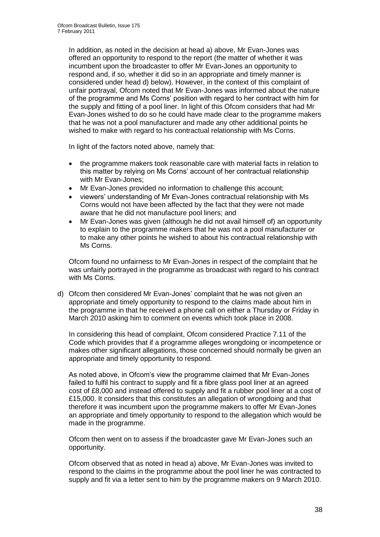In addition, as noted in the decision at head a) above, Mr Evan-Jones was offered an opportunity to respond to the report (the matter of whether it was incumbent upon the broadcaster to offer Mr Evan-Jones an opportunity to respond and, if so, whether it did so in an appropriate and timely manner is considered under head d) below). However, in the context of this complaint of unfair portrayal, Ofcom noted that Mr Evan-Jones was informed about the nature of the programme and Ms Corns" position with regard to her contract with him for the supply and fitting of a pool liner. In light of this Ofcom considers that had Mr Evan-Jones wished to do so he could have made clear to the programme makers that he was not a pool manufacturer and made any other additional points he wished to make with regard to his contractual relationship with Ms Corns.

In light of the factors noted above, namely that:

- the programme makers took reasonable care with material facts in relation to this matter by relying on Ms Corns" account of her contractual relationship with Mr Evan-Jones;
- Mr Evan-Jones provided no information to challenge this account;
- viewers" understanding of Mr Evan-Jones contractual relationship with Ms Corns would not have been affected by the fact that they were not made aware that he did not manufacture pool liners; and
- Mr Evan-Jones was given (although he did not avail himself of) an opportunity to explain to the programme makers that he was not a pool manufacturer or to make any other points he wished to about his contractual relationship with Ms Corns.

Ofcom found no unfairness to Mr Evan-Jones in respect of the complaint that he was unfairly portrayed in the programme as broadcast with regard to his contract with Ms Corns.

d) Ofcom then considered Mr Evan-Jones" complaint that he was not given an appropriate and timely opportunity to respond to the claims made about him in the programme in that he received a phone call on either a Thursday or Friday in March 2010 asking him to comment on events which took place in 2008.

In considering this head of complaint, Ofcom considered Practice 7.11 of the Code which provides that if a programme alleges wrongdoing or incompetence or makes other significant allegations, those concerned should normally be given an appropriate and timely opportunity to respond.

As noted above, in Ofcom"s view the programme claimed that Mr Evan-Jones failed to fulfil his contract to supply and fit a fibre glass pool liner at an agreed cost of £8,000 and instead offered to supply and fit a rubber pool liner at a cost of £15,000. It considers that this constitutes an allegation of wrongdoing and that therefore it was incumbent upon the programme makers to offer Mr Evan-Jones an appropriate and timely opportunity to respond to the allegation which would be made in the programme.

Ofcom then went on to assess if the broadcaster gave Mr Evan-Jones such an opportunity.

Ofcom observed that as noted in head a) above, Mr Evan-Jones was invited to respond to the claims in the programme about the pool liner he was contracted to supply and fit via a letter sent to him by the programme makers on 9 March 2010.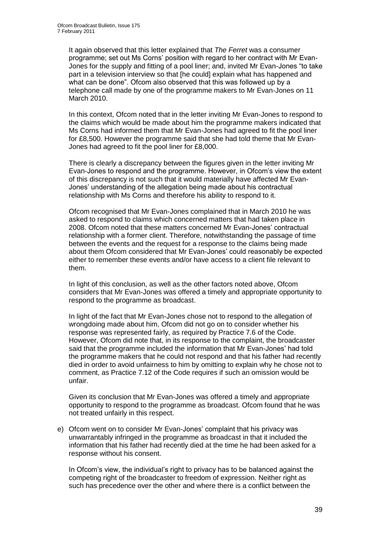It again observed that this letter explained that *The Ferret* was a consumer programme; set out Ms Corns" position with regard to her contract with Mr Evan-Jones for the supply and fitting of a pool liner; and, invited Mr Evan-Jones "to take part in a television interview so that [he could] explain what has happened and what can be done". Ofcom also observed that this was followed up by a telephone call made by one of the programme makers to Mr Evan-Jones on 11 March 2010.

In this context, Ofcom noted that in the letter inviting Mr Evan-Jones to respond to the claims which would be made about him the programme makers indicated that Ms Corns had informed them that Mr Evan-Jones had agreed to fit the pool liner for £8,500. However the programme said that she had told theme that Mr Evan-Jones had agreed to fit the pool liner for £8,000.

There is clearly a discrepancy between the figures given in the letter inviting Mr Evan-Jones to respond and the programme. However, in Ofcom"s view the extent of this discrepancy is not such that it would materially have affected Mr Evan-Jones" understanding of the allegation being made about his contractual relationship with Ms Corns and therefore his ability to respond to it.

Ofcom recognised that Mr Evan-Jones complained that in March 2010 he was asked to respond to claims which concerned matters that had taken place in 2008. Ofcom noted that these matters concerned Mr Evan-Jones" contractual relationship with a former client. Therefore, notwithstanding the passage of time between the events and the request for a response to the claims being made about them Ofcom considered that Mr Evan-Jones" could reasonably be expected either to remember these events and/or have access to a client file relevant to them.

In light of this conclusion, as well as the other factors noted above, Ofcom considers that Mr Evan-Jones was offered a timely and appropriate opportunity to respond to the programme as broadcast.

In light of the fact that Mr Evan-Jones chose not to respond to the allegation of wrongdoing made about him, Ofcom did not go on to consider whether his response was represented fairly, as required by Practice 7.6 of the Code. However, Ofcom did note that, in its response to the complaint, the broadcaster said that the programme included the information that Mr Evan-Jones" had told the programme makers that he could not respond and that his father had recently died in order to avoid unfairness to him by omitting to explain why he chose not to comment, as Practice 7.12 of the Code requires if such an omission would be unfair.

Given its conclusion that Mr Evan-Jones was offered a timely and appropriate opportunity to respond to the programme as broadcast. Ofcom found that he was not treated unfairly in this respect.

e) Ofcom went on to consider Mr Evan-Jones" complaint that his privacy was unwarrantably infringed in the programme as broadcast in that it included the information that his father had recently died at the time he had been asked for a response without his consent.

In Ofcom"s view, the individual"s right to privacy has to be balanced against the competing right of the broadcaster to freedom of expression. Neither right as such has precedence over the other and where there is a conflict between the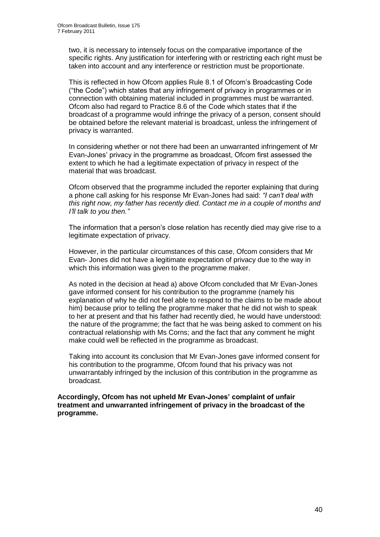two, it is necessary to intensely focus on the comparative importance of the specific rights. Any justification for interfering with or restricting each right must be taken into account and any interference or restriction must be proportionate.

This is reflected in how Ofcom applies Rule 8.1 of Ofcom"s Broadcasting Code ("the Code") which states that any infringement of privacy in programmes or in connection with obtaining material included in programmes must be warranted. Ofcom also had regard to Practice 8.6 of the Code which states that if the broadcast of a programme would infringe the privacy of a person, consent should be obtained before the relevant material is broadcast, unless the infringement of privacy is warranted.

In considering whether or not there had been an unwarranted infringement of Mr Evan-Jones" privacy in the programme as broadcast, Ofcom first assessed the extent to which he had a legitimate expectation of privacy in respect of the material that was broadcast.

Ofcom observed that the programme included the reporter explaining that during a phone call asking for his response Mr Evan-Jones had said: *"I can"t deal with this right now, my father has recently died. Contact me in a couple of months and I"ll talk to you then."*

The information that a person"s close relation has recently died may give rise to a legitimate expectation of privacy.

However, in the particular circumstances of this case, Ofcom considers that Mr Evan- Jones did not have a legitimate expectation of privacy due to the way in which this information was given to the programme maker.

As noted in the decision at head a) above Ofcom concluded that Mr Evan-Jones gave informed consent for his contribution to the programme (namely his explanation of why he did not feel able to respond to the claims to be made about him) because prior to telling the programme maker that he did not wish to speak to her at present and that his father had recently died, he would have understood: the nature of the programme; the fact that he was being asked to comment on his contractual relationship with Ms Corns; and the fact that any comment he might make could well be reflected in the programme as broadcast.

Taking into account its conclusion that Mr Evan-Jones gave informed consent for his contribution to the programme, Ofcom found that his privacy was not unwarrantably infringed by the inclusion of this contribution in the programme as broadcast.

**Accordingly, Ofcom has not upheld Mr Evan-Jones' complaint of unfair treatment and unwarranted infringement of privacy in the broadcast of the programme.**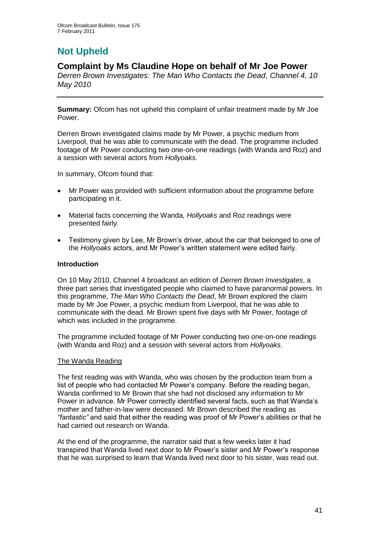# **Not Upheld**

## **Complaint by Ms Claudine Hope on behalf of Mr Joe Power**

*Derren Brown Investigates: The Man Who Contacts the Dead, Channel 4, 10 May 2010*

**Summary:** Ofcom has not upheld this complaint of unfair treatment made by Mr Joe Power.

Derren Brown investigated claims made by Mr Power, a psychic medium from Liverpool, that he was able to communicate with the dead. The programme included footage of Mr Power conducting two one-on-one readings (with Wanda and Roz) and a session with several actors from *Hollyoaks*.

In summary, Ofcom found that:

- Mr Power was provided with sufficient information about the programme before participating in it.
- Material facts concerning the Wanda, *Hollyoaks* and Roz readings were presented fairly.
- Testimony given by Lee, Mr Brown's driver, about the car that belonged to one of the *Hollyoaks* actors, and Mr Power"s written statement were edited fairly.

#### **Introduction**

On 10 May 2010, Channel 4 broadcast an edition of *Derren Brown Investigates*, a three part series that investigated people who claimed to have paranormal powers. In this programme, *The Man Who Contacts the Dead*, Mr Brown explored the claim made by Mr Joe Power, a psychic medium from Liverpool, that he was able to communicate with the dead. Mr Brown spent five days with Mr Power, footage of which was included in the programme.

The programme included footage of Mr Power conducting two one-on-one readings (with Wanda and Roz) and a session with several actors from *Hollyoaks*.

#### The Wanda Reading

The first reading was with Wanda, who was chosen by the production team from a list of people who had contacted Mr Power"s company. Before the reading began, Wanda confirmed to Mr Brown that she had not disclosed any information to Mr Power in advance. Mr Power correctly identified several facts, such as that Wanda"s mother and father-in-law were deceased. Mr Brown described the reading as *"fantastic"* and said that either the reading was proof of Mr Power"s abilities or that he had carried out research on Wanda.

At the end of the programme, the narrator said that a few weeks later it had transpired that Wanda lived next door to Mr Power"s sister and Mr Power"s response that he was surprised to learn that Wanda lived next door to his sister, was read out.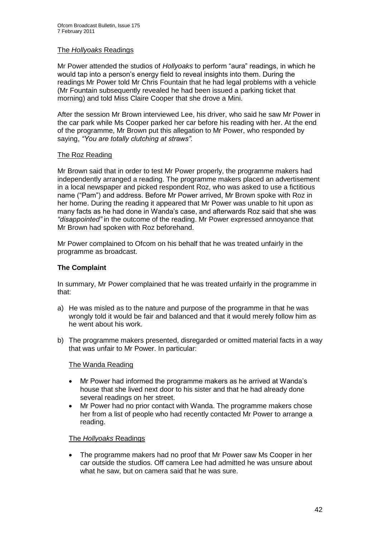#### The *Hollyoaks* Readings

Mr Power attended the studios of *Hollyoaks* to perform "aura" readings, in which he would tap into a person"s energy field to reveal insights into them. During the readings Mr Power told Mr Chris Fountain that he had legal problems with a vehicle (Mr Fountain subsequently revealed he had been issued a parking ticket that morning) and told Miss Claire Cooper that she drove a Mini.

After the session Mr Brown interviewed Lee, his driver, who said he saw Mr Power in the car park while Ms Cooper parked her car before his reading with her. At the end of the programme, Mr Brown put this allegation to Mr Power, who responded by saying, *"You are totally clutching at straws".*

#### The Roz Reading

Mr Brown said that in order to test Mr Power properly, the programme makers had independently arranged a reading. The programme makers placed an advertisement in a local newspaper and picked respondent Roz, who was asked to use a fictitious name ("Pam") and address. Before Mr Power arrived, Mr Brown spoke with Roz in her home. During the reading it appeared that Mr Power was unable to hit upon as many facts as he had done in Wanda"s case, and afterwards Roz said that she was *"disappointed"* in the outcome of the reading. Mr Power expressed annoyance that Mr Brown had spoken with Roz beforehand.

Mr Power complained to Ofcom on his behalf that he was treated unfairly in the programme as broadcast.

#### **The Complaint**

In summary, Mr Power complained that he was treated unfairly in the programme in that:

- a) He was misled as to the nature and purpose of the programme in that he was wrongly told it would be fair and balanced and that it would merely follow him as he went about his work.
- b) The programme makers presented, disregarded or omitted material facts in a way that was unfair to Mr Power. In particular:

#### The Wanda Reading

- Mr Power had informed the programme makers as he arrived at Wanda"s house that she lived next door to his sister and that he had already done several readings on her street.
- Mr Power had no prior contact with Wanda. The programme makers chose her from a list of people who had recently contacted Mr Power to arrange a reading.

#### The *Hollyoaks* Readings

• The programme makers had no proof that Mr Power saw Ms Cooper in her car outside the studios. Off camera Lee had admitted he was unsure about what he saw, but on camera said that he was sure.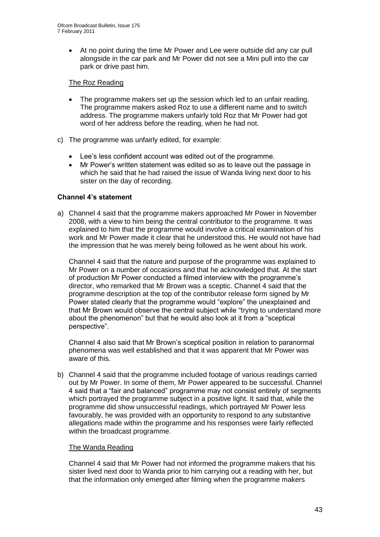At no point during the time Mr Power and Lee were outside did any car pull alongside in the car park and Mr Power did not see a Mini pull into the car park or drive past him.

#### The Roz Reading

- The programme makers set up the session which led to an unfair reading. The programme makers asked Roz to use a different name and to switch address. The programme makers unfairly told Roz that Mr Power had got word of her address before the reading, when he had not.
- c) The programme was unfairly edited, for example:
	- Lee"s less confident account was edited out of the programme.
	- Mr Power"s written statement was edited so as to leave out the passage in which he said that he had raised the issue of Wanda living next door to his sister on the day of recording.

#### **Channel 4's statement**

a) Channel 4 said that the programme makers approached Mr Power in November 2008, with a view to him being the central contributor to the programme. It was explained to him that the programme would involve a critical examination of his work and Mr Power made it clear that he understood this. He would not have had the impression that he was merely being followed as he went about his work.

Channel 4 said that the nature and purpose of the programme was explained to Mr Power on a number of occasions and that he acknowledged that. At the start of production Mr Power conducted a filmed interview with the programme"s director, who remarked that Mr Brown was a sceptic. Channel 4 said that the programme description at the top of the contributor release form signed by Mr Power stated clearly that the programme would "explore" the unexplained and that Mr Brown would observe the central subject while "trying to understand more about the phenomenon" but that he would also look at it from a "sceptical perspective".

Channel 4 also said that Mr Brown"s sceptical position in relation to paranormal phenomena was well established and that it was apparent that Mr Power was aware of this.

b) Channel 4 said that the programme included footage of various readings carried out by Mr Power. In some of them, Mr Power appeared to be successful. Channel 4 said that a "fair and balanced" programme may not consist entirely of segments which portrayed the programme subject in a positive light. It said that, while the programme did show unsuccessful readings, which portrayed Mr Power less favourably, he was provided with an opportunity to respond to any substantive allegations made within the programme and his responses were fairly reflected within the broadcast programme.

#### The Wanda Reading

Channel 4 said that Mr Power had not informed the programme makers that his sister lived next door to Wanda prior to him carrying out a reading with her, but that the information only emerged after filming when the programme makers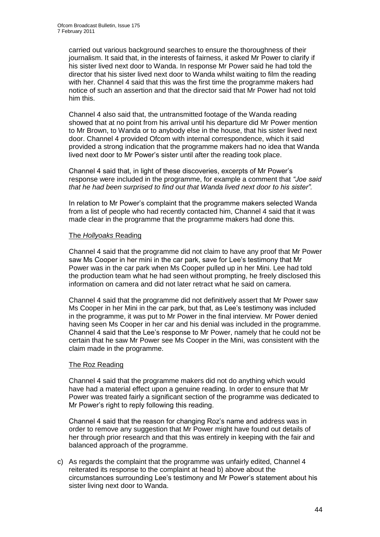carried out various background searches to ensure the thoroughness of their journalism. It said that, in the interests of fairness, it asked Mr Power to clarify if his sister lived next door to Wanda. In response Mr Power said he had told the director that his sister lived next door to Wanda whilst waiting to film the reading with her. Channel 4 said that this was the first time the programme makers had notice of such an assertion and that the director said that Mr Power had not told him this.

Channel 4 also said that, the untransmitted footage of the Wanda reading showed that at no point from his arrival until his departure did Mr Power mention to Mr Brown, to Wanda or to anybody else in the house, that his sister lived next door. Channel 4 provided Ofcom with internal correspondence, which it said provided a strong indication that the programme makers had no idea that Wanda lived next door to Mr Power"s sister until after the reading took place.

Channel 4 said that, in light of these discoveries, excerpts of Mr Power"s response were included in the programme, for example a comment that *"Joe said that he had been surprised to find out that Wanda lived next door to his sister".*

In relation to Mr Power"s complaint that the programme makers selected Wanda from a list of people who had recently contacted him, Channel 4 said that it was made clear in the programme that the programme makers had done this.

#### The *Hollyoaks* Reading

Channel 4 said that the programme did not claim to have any proof that Mr Power saw Ms Cooper in her mini in the car park, save for Lee's testimony that Mr Power was in the car park when Ms Cooper pulled up in her Mini. Lee had told the production team what he had seen without prompting, he freely disclosed this information on camera and did not later retract what he said on camera.

Channel 4 said that the programme did not definitively assert that Mr Power saw Ms Cooper in her Mini in the car park, but that, as Lee"s testimony was included in the programme, it was put to Mr Power in the final interview. Mr Power denied having seen Ms Cooper in her car and his denial was included in the programme. Channel 4 said that the Lee"s response to Mr Power, namely that he could not be certain that he saw Mr Power see Ms Cooper in the Mini, was consistent with the claim made in the programme.

#### The Roz Reading

Channel 4 said that the programme makers did not do anything which would have had a material effect upon a genuine reading. In order to ensure that Mr Power was treated fairly a significant section of the programme was dedicated to Mr Power"s right to reply following this reading.

Channel 4 said that the reason for changing Roz"s name and address was in order to remove any suggestion that Mr Power might have found out details of her through prior research and that this was entirely in keeping with the fair and balanced approach of the programme.

c) As regards the complaint that the programme was unfairly edited, Channel 4 reiterated its response to the complaint at head b) above about the circumstances surrounding Lee"s testimony and Mr Power"s statement about his sister living next door to Wanda.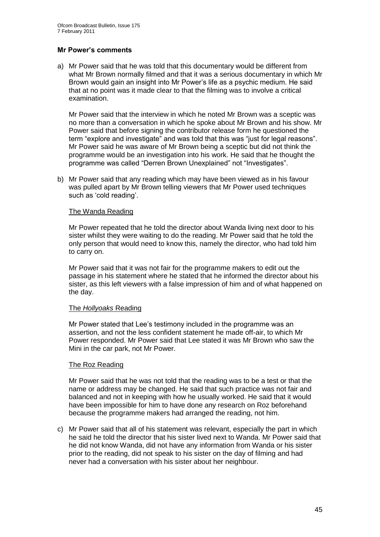#### **Mr Power's comments**

a) Mr Power said that he was told that this documentary would be different from what Mr Brown normally filmed and that it was a serious documentary in which Mr Brown would gain an insight into Mr Power"s life as a psychic medium. He said that at no point was it made clear to that the filming was to involve a critical examination.

Mr Power said that the interview in which he noted Mr Brown was a sceptic was no more than a conversation in which he spoke about Mr Brown and his show. Mr Power said that before signing the contributor release form he questioned the term "explore and investigate" and was told that this was "just for legal reasons". Mr Power said he was aware of Mr Brown being a sceptic but did not think the programme would be an investigation into his work. He said that he thought the programme was called "Derren Brown Unexplained" not "Investigates".

b) Mr Power said that any reading which may have been viewed as in his favour was pulled apart by Mr Brown telling viewers that Mr Power used techniques such as 'cold reading'.

#### The Wanda Reading

Mr Power repeated that he told the director about Wanda living next door to his sister whilst they were waiting to do the reading. Mr Power said that he told the only person that would need to know this, namely the director, who had told him to carry on.

Mr Power said that it was not fair for the programme makers to edit out the passage in his statement where he stated that he informed the director about his sister, as this left viewers with a false impression of him and of what happened on the day.

#### The *Hollyoaks* Reading

Mr Power stated that Lee"s testimony included in the programme was an assertion, and not the less confident statement he made off-air, to which Mr Power responded. Mr Power said that Lee stated it was Mr Brown who saw the Mini in the car park, not Mr Power.

#### The Roz Reading

Mr Power said that he was not told that the reading was to be a test or that the name or address may be changed. He said that such practice was not fair and balanced and not in keeping with how he usually worked. He said that it would have been impossible for him to have done any research on Roz beforehand because the programme makers had arranged the reading, not him.

c) Mr Power said that all of his statement was relevant, especially the part in which he said he told the director that his sister lived next to Wanda. Mr Power said that he did not know Wanda, did not have any information from Wanda or his sister prior to the reading, did not speak to his sister on the day of filming and had never had a conversation with his sister about her neighbour.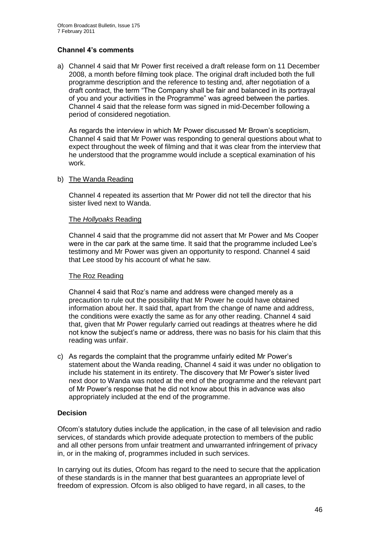#### **Channel 4's comments**

a) Channel 4 said that Mr Power first received a draft release form on 11 December 2008, a month before filming took place. The original draft included both the full programme description and the reference to testing and, after negotiation of a draft contract, the term "The Company shall be fair and balanced in its portrayal of you and your activities in the Programme" was agreed between the parties. Channel 4 said that the release form was signed in mid-December following a period of considered negotiation.

As regards the interview in which Mr Power discussed Mr Brown"s scepticism, Channel 4 said that Mr Power was responding to general questions about what to expect throughout the week of filming and that it was clear from the interview that he understood that the programme would include a sceptical examination of his work.

#### b) The Wanda Reading

Channel 4 repeated its assertion that Mr Power did not tell the director that his sister lived next to Wanda.

#### The *Hollyoaks* Reading

Channel 4 said that the programme did not assert that Mr Power and Ms Cooper were in the car park at the same time. It said that the programme included Lee"s testimony and Mr Power was given an opportunity to respond. Channel 4 said that Lee stood by his account of what he saw.

#### The Roz Reading

Channel 4 said that Roz"s name and address were changed merely as a precaution to rule out the possibility that Mr Power he could have obtained information about her. It said that, apart from the change of name and address, the conditions were exactly the same as for any other reading. Channel 4 said that, given that Mr Power regularly carried out readings at theatres where he did not know the subject"s name or address, there was no basis for his claim that this reading was unfair.

c) As regards the complaint that the programme unfairly edited Mr Power"s statement about the Wanda reading, Channel 4 said it was under no obligation to include his statement in its entirety. The discovery that Mr Power"s sister lived next door to Wanda was noted at the end of the programme and the relevant part of Mr Power"s response that he did not know about this in advance was also appropriately included at the end of the programme.

#### **Decision**

Ofcom"s statutory duties include the application, in the case of all television and radio services, of standards which provide adequate protection to members of the public and all other persons from unfair treatment and unwarranted infringement of privacy in, or in the making of, programmes included in such services.

In carrying out its duties, Ofcom has regard to the need to secure that the application of these standards is in the manner that best guarantees an appropriate level of freedom of expression. Ofcom is also obliged to have regard, in all cases, to the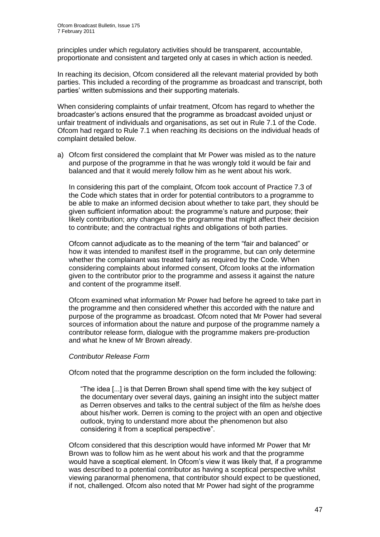principles under which regulatory activities should be transparent, accountable, proportionate and consistent and targeted only at cases in which action is needed.

In reaching its decision, Ofcom considered all the relevant material provided by both parties. This included a recording of the programme as broadcast and transcript, both parties" written submissions and their supporting materials.

When considering complaints of unfair treatment, Ofcom has regard to whether the broadcaster"s actions ensured that the programme as broadcast avoided unjust or unfair treatment of individuals and organisations, as set out in Rule 7.1 of the Code. Ofcom had regard to Rule 7.1 when reaching its decisions on the individual heads of complaint detailed below.

a) Ofcom first considered the complaint that Mr Power was misled as to the nature and purpose of the programme in that he was wrongly told it would be fair and balanced and that it would merely follow him as he went about his work.

In considering this part of the complaint, Ofcom took account of Practice 7.3 of the Code which states that in order for potential contributors to a programme to be able to make an informed decision about whether to take part, they should be given sufficient information about: the programme"s nature and purpose; their likely contribution; any changes to the programme that might affect their decision to contribute; and the contractual rights and obligations of both parties.

Ofcom cannot adjudicate as to the meaning of the term "fair and balanced" or how it was intended to manifest itself in the programme, but can only determine whether the complainant was treated fairly as required by the Code. When considering complaints about informed consent, Ofcom looks at the information given to the contributor prior to the programme and assess it against the nature and content of the programme itself.

Ofcom examined what information Mr Power had before he agreed to take part in the programme and then considered whether this accorded with the nature and purpose of the programme as broadcast. Ofcom noted that Mr Power had several sources of information about the nature and purpose of the programme namely a contributor release form, dialogue with the programme makers pre-production and what he knew of Mr Brown already.

#### *Contributor Release Form*

Ofcom noted that the programme description on the form included the following:

"The idea [...] is that Derren Brown shall spend time with the key subject of the documentary over several days, gaining an insight into the subject matter as Derren observes and talks to the central subject of the film as he/she does about his/her work. Derren is coming to the project with an open and objective outlook, trying to understand more about the phenomenon but also considering it from a sceptical perspective".

Ofcom considered that this description would have informed Mr Power that Mr Brown was to follow him as he went about his work and that the programme would have a sceptical element. In Ofcom"s view it was likely that, if a programme was described to a potential contributor as having a sceptical perspective whilst viewing paranormal phenomena, that contributor should expect to be questioned, if not, challenged. Ofcom also noted that Mr Power had sight of the programme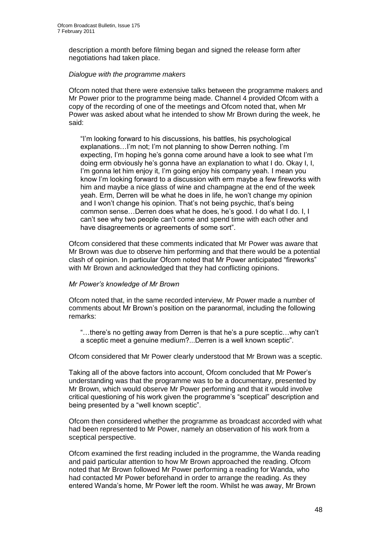description a month before filming began and signed the release form after negotiations had taken place.

#### *Dialogue with the programme makers*

Ofcom noted that there were extensive talks between the programme makers and Mr Power prior to the programme being made. Channel 4 provided Ofcom with a copy of the recording of one of the meetings and Ofcom noted that, when Mr Power was asked about what he intended to show Mr Brown during the week, he said:

"I"m looking forward to his discussions, his battles, his psychological explanations...I'm not; I'm not planning to show Derren nothing. I'm expecting, I"m hoping he"s gonna come around have a look to see what I"m doing erm obviously he"s gonna have an explanation to what I do. Okay I, I, I'm gonna let him enjoy it, I'm going enjoy his company yeah. I mean you know I"m looking forward to a discussion with erm maybe a few fireworks with him and maybe a nice glass of wine and champagne at the end of the week yeah. Erm, Derren will be what he does in life, he won"t change my opinion and I won't change his opinion. That's not being psychic, that's being common sense…Derren does what he does, he"s good. I do what I do. I, I can"t see why two people can"t come and spend time with each other and have disagreements or agreements of some sort".

Ofcom considered that these comments indicated that Mr Power was aware that Mr Brown was due to observe him performing and that there would be a potential clash of opinion. In particular Ofcom noted that Mr Power anticipated "fireworks" with Mr Brown and acknowledged that they had conflicting opinions.

#### *Mr Power"s knowledge of Mr Brown*

Ofcom noted that, in the same recorded interview, Mr Power made a number of comments about Mr Brown"s position on the paranormal, including the following remarks:

"…there"s no getting away from Derren is that he"s a pure sceptic…why can"t a sceptic meet a genuine medium?...Derren is a well known sceptic".

Ofcom considered that Mr Power clearly understood that Mr Brown was a sceptic.

Taking all of the above factors into account, Ofcom concluded that Mr Power"s understanding was that the programme was to be a documentary, presented by Mr Brown, which would observe Mr Power performing and that it would involve critical questioning of his work given the programme"s "sceptical" description and being presented by a "well known sceptic".

Ofcom then considered whether the programme as broadcast accorded with what had been represented to Mr Power, namely an observation of his work from a sceptical perspective.

Ofcom examined the first reading included in the programme, the Wanda reading and paid particular attention to how Mr Brown approached the reading. Ofcom noted that Mr Brown followed Mr Power performing a reading for Wanda, who had contacted Mr Power beforehand in order to arrange the reading. As they entered Wanda"s home, Mr Power left the room. Whilst he was away, Mr Brown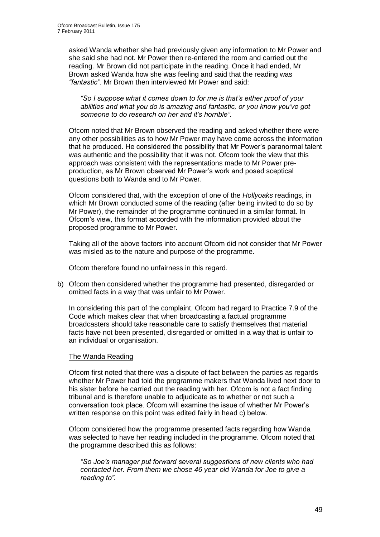asked Wanda whether she had previously given any information to Mr Power and she said she had not. Mr Power then re-entered the room and carried out the reading. Mr Brown did not participate in the reading. Once it had ended, Mr Brown asked Wanda how she was feeling and said that the reading was *"fantastic".* Mr Brown then interviewed Mr Power and said:

*"So I suppose what it comes down to for me is that"s either proof of your abilities and what you do is amazing and fantastic, or you know you"ve got someone to do research on her and it"s horrible".* 

Ofcom noted that Mr Brown observed the reading and asked whether there were any other possibilities as to how Mr Power may have come across the information that he produced. He considered the possibility that Mr Power"s paranormal talent was authentic and the possibility that it was not. Ofcom took the view that this approach was consistent with the representations made to Mr Power preproduction, as Mr Brown observed Mr Power"s work and posed sceptical questions both to Wanda and to Mr Power.

Ofcom considered that, with the exception of one of the *Hollyoaks* readings, in which Mr Brown conducted some of the reading (after being invited to do so by Mr Power), the remainder of the programme continued in a similar format. In Ofcom"s view, this format accorded with the information provided about the proposed programme to Mr Power.

Taking all of the above factors into account Ofcom did not consider that Mr Power was misled as to the nature and purpose of the programme.

Ofcom therefore found no unfairness in this regard.

b) Ofcom then considered whether the programme had presented, disregarded or omitted facts in a way that was unfair to Mr Power.

In considering this part of the complaint, Ofcom had regard to Practice 7.9 of the Code which makes clear that when broadcasting a factual programme broadcasters should take reasonable care to satisfy themselves that material facts have not been presented, disregarded or omitted in a way that is unfair to an individual or organisation.

#### The Wanda Reading

Ofcom first noted that there was a dispute of fact between the parties as regards whether Mr Power had told the programme makers that Wanda lived next door to his sister before he carried out the reading with her. Ofcom is not a fact finding tribunal and is therefore unable to adjudicate as to whether or not such a conversation took place. Ofcom will examine the issue of whether Mr Power"s written response on this point was edited fairly in head c) below.

Ofcom considered how the programme presented facts regarding how Wanda was selected to have her reading included in the programme. Ofcom noted that the programme described this as follows:

*"So Joe"s manager put forward several suggestions of new clients who had contacted her. From them we chose 46 year old Wanda for Joe to give a reading to".*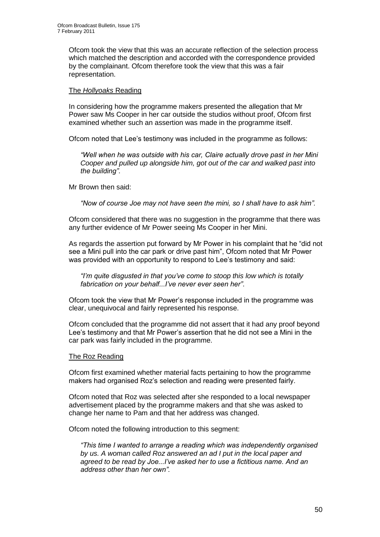Ofcom took the view that this was an accurate reflection of the selection process which matched the description and accorded with the correspondence provided by the complainant. Ofcom therefore took the view that this was a fair representation.

#### The *Hollyoaks* Reading

In considering how the programme makers presented the allegation that Mr Power saw Ms Cooper in her car outside the studios without proof, Ofcom first examined whether such an assertion was made in the programme itself.

Ofcom noted that Lee"s testimony was included in the programme as follows:

*"Well when he was outside with his car, Claire actually drove past in her Mini Cooper and pulled up alongside him, got out of the car and walked past into the building"*.

Mr Brown then said:

*"Now of course Joe may not have seen the mini, so I shall have to ask him".* 

Ofcom considered that there was no suggestion in the programme that there was any further evidence of Mr Power seeing Ms Cooper in her Mini.

As regards the assertion put forward by Mr Power in his complaint that he "did not see a Mini pull into the car park or drive past him", Ofcom noted that Mr Power was provided with an opportunity to respond to Lee's testimony and said:

*"I"m quite disgusted in that you"ve come to stoop this low which is totally fabrication on your behalf...I"ve never ever seen her"*.

Ofcom took the view that Mr Power"s response included in the programme was clear, unequivocal and fairly represented his response.

Ofcom concluded that the programme did not assert that it had any proof beyond Lee"s testimony and that Mr Power"s assertion that he did not see a Mini in the car park was fairly included in the programme.

#### The Roz Reading

Ofcom first examined whether material facts pertaining to how the programme makers had organised Roz"s selection and reading were presented fairly.

Ofcom noted that Roz was selected after she responded to a local newspaper advertisement placed by the programme makers and that she was asked to change her name to Pam and that her address was changed.

Ofcom noted the following introduction to this segment:

*"This time I wanted to arrange a reading which was independently organised by us. A woman called Roz answered an ad I put in the local paper and agreed to be read by Joe...I"ve asked her to use a fictitious name. And an address other than her own".*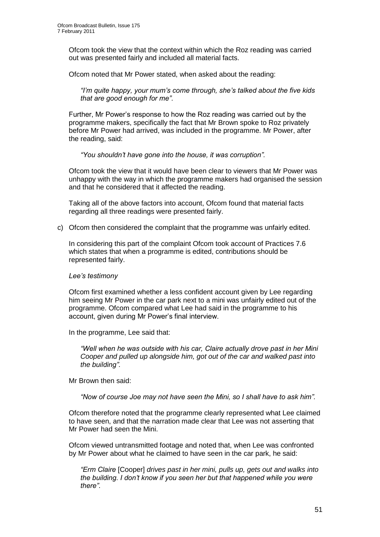Ofcom took the view that the context within which the Roz reading was carried out was presented fairly and included all material facts.

Ofcom noted that Mr Power stated, when asked about the reading:

*"I"m quite happy, your mum"s come through, she"s talked about the five kids that are good enough for me"*.

Further, Mr Power"s response to how the Roz reading was carried out by the programme makers, specifically the fact that Mr Brown spoke to Roz privately before Mr Power had arrived, was included in the programme. Mr Power, after the reading, said:

*"You shouldn"t have gone into the house, it was corruption".* 

Ofcom took the view that it would have been clear to viewers that Mr Power was unhappy with the way in which the programme makers had organised the session and that he considered that it affected the reading.

Taking all of the above factors into account, Ofcom found that material facts regarding all three readings were presented fairly.

c) Ofcom then considered the complaint that the programme was unfairly edited.

In considering this part of the complaint Ofcom took account of Practices 7.6 which states that when a programme is edited, contributions should be represented fairly.

#### *Lee"s testimony*

Ofcom first examined whether a less confident account given by Lee regarding him seeing Mr Power in the car park next to a mini was unfairly edited out of the programme. Ofcom compared what Lee had said in the programme to his account, given during Mr Power"s final interview.

In the programme, Lee said that:

*"Well when he was outside with his car, Claire actually drove past in her Mini Cooper and pulled up alongside him, got out of the car and walked past into the building"*.

Mr Brown then said:

*"Now of course Joe may not have seen the Mini, so I shall have to ask him".* 

Ofcom therefore noted that the programme clearly represented what Lee claimed to have seen, and that the narration made clear that Lee was not asserting that Mr Power had seen the Mini.

Ofcom viewed untransmitted footage and noted that, when Lee was confronted by Mr Power about what he claimed to have seen in the car park, he said:

*"Erm Claire* [Cooper] *drives past in her mini, pulls up, gets out and walks into the building. I don"t know if you seen her but that happened while you were there"*.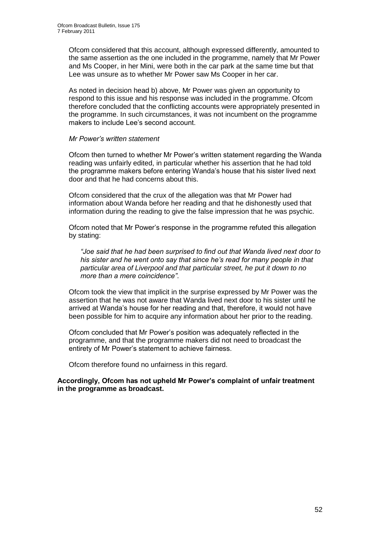Ofcom considered that this account, although expressed differently, amounted to the same assertion as the one included in the programme, namely that Mr Power and Ms Cooper, in her Mini, were both in the car park at the same time but that Lee was unsure as to whether Mr Power saw Ms Cooper in her car.

As noted in decision head b) above, Mr Power was given an opportunity to respond to this issue and his response was included in the programme. Ofcom therefore concluded that the conflicting accounts were appropriately presented in the programme. In such circumstances, it was not incumbent on the programme makers to include Lee's second account.

#### *Mr Power"s written statement*

Ofcom then turned to whether Mr Power"s written statement regarding the Wanda reading was unfairly edited, in particular whether his assertion that he had told the programme makers before entering Wanda"s house that his sister lived next door and that he had concerns about this.

Ofcom considered that the crux of the allegation was that Mr Power had information about Wanda before her reading and that he dishonestly used that information during the reading to give the false impression that he was psychic.

Ofcom noted that Mr Power"s response in the programme refuted this allegation by stating:

*"Joe said that he had been surprised to find out that Wanda lived next door to his sister and he went onto say that since he"s read for many people in that particular area of Liverpool and that particular street, he put it down to no more than a mere coincidence"*.

Ofcom took the view that implicit in the surprise expressed by Mr Power was the assertion that he was not aware that Wanda lived next door to his sister until he arrived at Wanda"s house for her reading and that, therefore, it would not have been possible for him to acquire any information about her prior to the reading.

Ofcom concluded that Mr Power"s position was adequately reflected in the programme, and that the programme makers did not need to broadcast the entirety of Mr Power"s statement to achieve fairness.

Ofcom therefore found no unfairness in this regard.

#### **Accordingly, Ofcom has not upheld Mr Power's complaint of unfair treatment in the programme as broadcast.**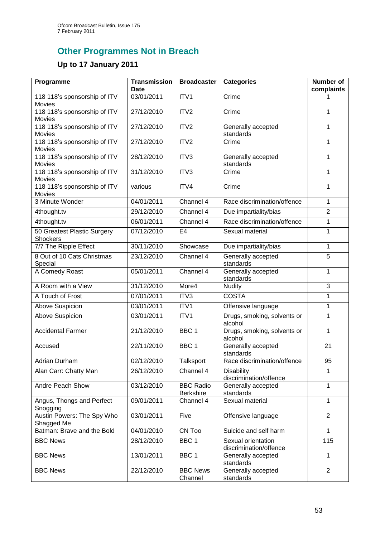# **Other Programmes Not in Breach**

## **Up to 17 January 2011**

| Programme                                | <b>Transmission</b><br><b>Date</b> | <b>Broadcaster</b>                   | <b>Categories</b>                            | <b>Number of</b><br>complaints |
|------------------------------------------|------------------------------------|--------------------------------------|----------------------------------------------|--------------------------------|
| 118 118's sponsorship of ITV<br>Movies   | 03/01/2011                         | ITV1                                 | Crime                                        |                                |
| 118 118's sponsorship of ITV<br>Movies   | 27/12/2010                         | ITV <sub>2</sub>                     | Crime                                        | 1                              |
| 118 118's sponsorship of ITV<br>Movies   | 27/12/2010                         | ITV2                                 | Generally accepted<br>standards              | 1                              |
| 118 118's sponsorship of ITV<br>Movies   | 27/12/2010                         | ITV2                                 | Crime                                        | 1                              |
| 118 118's sponsorship of ITV<br>Movies   | 28/12/2010                         | ITV3                                 | Generally accepted<br>standards              | 1                              |
| 118 118's sponsorship of ITV<br>Movies   | 31/12/2010                         | ITV3                                 | Crime                                        | 1                              |
| 118 118's sponsorship of ITV<br>Movies   | various                            | ITV4                                 | Crime                                        | 1                              |
| 3 Minute Wonder                          | 04/01/2011                         | Channel 4                            | Race discrimination/offence                  | 1                              |
| 4thought.tv                              | 29/12/2010                         | Channel 4                            | Due impartiality/bias                        | $\overline{2}$                 |
| 4thought.tv                              | 06/01/2011                         | Channel 4                            | Race discrimination/offence                  | 1                              |
| 50 Greatest Plastic Surgery<br>Shockers  | 07/12/2010                         | E <sub>4</sub>                       | Sexual material                              | $\mathbf{1}$                   |
| 7/7 The Ripple Effect                    | 30/11/2010                         | Showcase                             | Due impartiality/bias                        | 1                              |
| 8 Out of 10 Cats Christmas<br>Special    | 23/12/2010                         | Channel 4                            | Generally accepted<br>standards              | 5                              |
| A Comedy Roast                           | 05/01/2011                         | Channel 4                            | Generally accepted<br>standards              | 1                              |
| A Room with a View                       | 31/12/2010                         | More4                                | <b>Nudity</b>                                | 3                              |
| A Touch of Frost                         | 07/01/2011                         | ITV3                                 | <b>COSTA</b>                                 | 1                              |
| Above Suspicion                          | 03/01/2011                         | ITV1                                 | Offensive language                           | $\mathbf{1}$                   |
| Above Suspicion                          | 03/01/2011                         | ITV1                                 | Drugs, smoking, solvents or<br>alcohol       | 1                              |
| <b>Accidental Farmer</b>                 | 21/12/2010                         | BBC <sub>1</sub>                     | Drugs, smoking, solvents or<br>alcohol       | 1                              |
| Accused                                  | 22/11/2010                         | BBC <sub>1</sub>                     | Generally accepted<br>standards              | 21                             |
| Adrian Durham                            | 02/12/2010                         | Talksport                            | Race discrimination/offence                  | 95                             |
| Alan Carr: Chatty Man                    | 26/12/2010                         | Channel 4                            | <b>Disability</b><br>discrimination/offence  | 1                              |
| Andre Peach Show                         | 03/12/2010                         | <b>BBC Radio</b><br><b>Berkshire</b> | Generally accepted<br>standards              | 1                              |
| Angus, Thongs and Perfect<br>Snogging    | 09/01/2011                         | Channel 4                            | Sexual material                              | 1                              |
| Austin Powers: The Spy Who<br>Shagged Me | 03/01/2011                         | Five                                 | Offensive language                           | $\overline{2}$                 |
| Batman: Brave and the Bold               | 04/01/2010                         | CN Too                               | Suicide and self harm                        | $\mathbf{1}$                   |
| <b>BBC News</b>                          | 28/12/2010                         | BBC <sub>1</sub>                     | Sexual orientation<br>discrimination/offence | 115                            |
| <b>BBC News</b>                          | 13/01/2011                         | BBC <sub>1</sub>                     | Generally accepted<br>standards              | $\mathbf{1}$                   |
| <b>BBC News</b>                          | 22/12/2010                         | <b>BBC News</b><br>Channel           | Generally accepted<br>standards              | $\overline{2}$                 |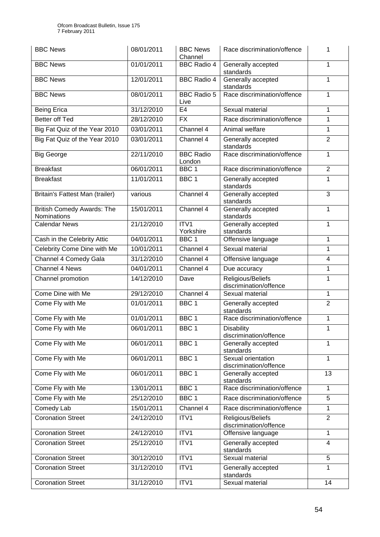| <b>BBC News</b>                                  | 08/01/2011 | <b>BBC News</b><br>Channel | Race discrimination/offence                  |                         |
|--------------------------------------------------|------------|----------------------------|----------------------------------------------|-------------------------|
| <b>BBC News</b>                                  | 01/01/2011 | <b>BBC Radio 4</b>         | Generally accepted<br>standards              | 1                       |
| <b>BBC News</b>                                  | 12/01/2011 | <b>BBC Radio 4</b>         | Generally accepted<br>standards              | 1                       |
| <b>BBC News</b>                                  | 08/01/2011 | <b>BBC Radio 5</b><br>Live | Race discrimination/offence                  | 1                       |
| <b>Being Erica</b>                               | 31/12/2010 | E <sub>4</sub>             | Sexual material                              | 1                       |
| <b>Better off Ted</b>                            | 28/12/2010 | <b>FX</b>                  | Race discrimination/offence                  | 1                       |
| Big Fat Quiz of the Year 2010                    | 03/01/2011 | Channel 4                  | Animal welfare                               | 1                       |
| Big Fat Quiz of the Year 2010                    | 03/01/2011 | Channel 4                  | Generally accepted<br>standards              | $\overline{2}$          |
| <b>Big George</b>                                | 22/11/2010 | <b>BBC Radio</b><br>London | Race discrimination/offence                  | 1                       |
| <b>Breakfast</b>                                 | 06/01/2011 | BBC <sub>1</sub>           | Race discrimination/offence                  | $\overline{2}$          |
| <b>Breakfast</b>                                 | 11/01/2011 | BBC <sub>1</sub>           | Generally accepted<br>standards              | 1                       |
| Britain's Fattest Man (trailer)                  | various    | Channel 4                  | Generally accepted<br>standards              | 3                       |
| <b>British Comedy Awards: The</b><br>Nominations | 15/01/2011 | Channel 4                  | Generally accepted<br>standards              | 1                       |
| <b>Calendar News</b>                             | 21/12/2010 | ITV1<br>Yorkshire          | Generally accepted<br>standards              | 1                       |
| Cash in the Celebrity Attic                      | 04/01/2011 | BBC <sub>1</sub>           | Offensive language                           | 1                       |
| Celebrity Come Dine with Me                      | 10/01/2011 | Channel 4                  | Sexual material                              | 1                       |
| Channel 4 Comedy Gala                            | 31/12/2010 | Channel 4                  | Offensive language                           | $\overline{\mathbf{4}}$ |
| <b>Channel 4 News</b>                            | 04/01/2011 | Channel 4                  | Due accuracy                                 | 1                       |
| Channel promotion                                | 14/12/2010 | Dave                       | Religious/Beliefs<br>discrimination/offence  | 1                       |
| Come Dine with Me                                | 29/12/2010 | Channel 4                  | Sexual material                              | 1                       |
| Come Fly with Me                                 | 01/01/2011 | BBC <sub>1</sub>           | Generally accepted<br>standards              | $\overline{2}$          |
| Come Fly with Me                                 | 01/01/2011 | BBC <sub>1</sub>           | Race discrimination/offence                  | 1                       |
| Come Fly with Me                                 | 06/01/2011 | BBC 1                      | <b>Disability</b><br>discrimination/offence  | 1                       |
| Come Fly with Me                                 | 06/01/2011 | BBC <sub>1</sub>           | Generally accepted<br>standards              | 1                       |
| Come Fly with Me                                 | 06/01/2011 | BBC <sub>1</sub>           | Sexual orientation<br>discrimination/offence | 1                       |
| Come Fly with Me                                 | 06/01/2011 | BBC <sub>1</sub>           | Generally accepted<br>standards              | 13                      |
| Come Fly with Me                                 | 13/01/2011 | BBC <sub>1</sub>           | Race discrimination/offence                  | 1                       |
| Come Fly with Me                                 | 25/12/2010 | BBC <sub>1</sub>           | Race discrimination/offence                  | 5                       |
| Comedy Lab                                       | 15/01/2011 | Channel 4                  | Race discrimination/offence                  | 1                       |
| <b>Coronation Street</b>                         | 24/12/2010 | ITV1                       | Religious/Beliefs<br>discrimination/offence  | $\overline{2}$          |
| <b>Coronation Street</b>                         | 24/12/2010 | ITV1                       | Offensive language                           | 1                       |
| <b>Coronation Street</b>                         | 25/12/2010 | ITV1                       | Generally accepted<br>standards              | 4                       |
| <b>Coronation Street</b>                         | 30/12/2010 | ITV1                       | Sexual material                              | 5                       |
| <b>Coronation Street</b>                         | 31/12/2010 | ITV1                       | Generally accepted<br>standards              | 1                       |
| <b>Coronation Street</b>                         | 31/12/2010 | ITV1                       | Sexual material                              | 14                      |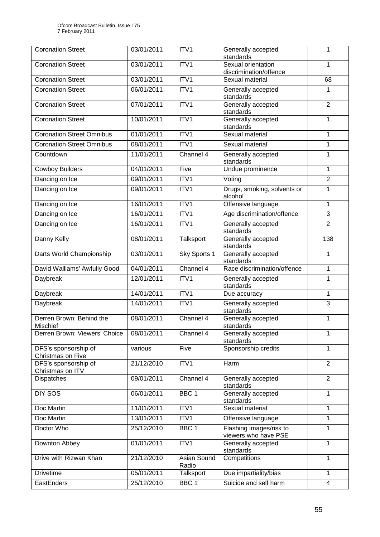| <b>Coronation Street</b>                  | 03/01/2011 | ITV <sub>1</sub>     | Generally accepted<br>standards                 | 1              |
|-------------------------------------------|------------|----------------------|-------------------------------------------------|----------------|
| <b>Coronation Street</b>                  | 03/01/2011 | ITV1                 | Sexual orientation<br>discrimination/offence    | 1              |
| <b>Coronation Street</b>                  | 03/01/2011 | ITV1                 | Sexual material                                 | 68             |
| <b>Coronation Street</b>                  | 06/01/2011 | ITV1                 | Generally accepted<br>standards                 | 1              |
| <b>Coronation Street</b>                  | 07/01/2011 | ITV1                 | Generally accepted<br>standards                 | $\overline{2}$ |
| <b>Coronation Street</b>                  | 10/01/2011 | ITV1                 | Generally accepted<br>standards                 | 1              |
| <b>Coronation Street Omnibus</b>          | 01/01/2011 | ITV1                 | Sexual material                                 | 1              |
| <b>Coronation Street Omnibus</b>          | 08/01/2011 | ITV1                 | Sexual material                                 | 1              |
| Countdown                                 | 11/01/2011 | Channel 4            | Generally accepted<br>standards                 | 1              |
| <b>Cowboy Builders</b>                    | 04/01/2011 | Five                 | Undue prominence                                | 1              |
| Dancing on Ice                            | 09/01/2011 | ITV1                 | Voting                                          | $\overline{2}$ |
| Dancing on Ice                            | 09/01/2011 | ITV1                 | Drugs, smoking, solvents or<br>alcohol          | 1              |
| Dancing on Ice                            | 16/01/2011 | ITV1                 | Offensive language                              | 1              |
| Dancing on Ice                            | 16/01/2011 | ITV1                 | Age discrimination/offence                      | 3              |
| Dancing on Ice                            | 16/01/2011 | ITV1                 | Generally accepted<br>standards                 | $\overline{2}$ |
| Danny Kelly                               | 08/01/2011 | Talksport            | Generally accepted<br>standards                 | 138            |
| Darts World Championship                  | 03/01/2011 | Sky Sports 1         | Generally accepted<br>standards                 | 1              |
| David Walliams' Awfully Good              | 04/01/2011 | Channel 4            | Race discrimination/offence                     | 1              |
| Daybreak                                  | 12/01/2011 | ITV1                 | Generally accepted<br>standards                 | 1              |
| Daybreak                                  | 14/01/2011 | ITV1                 | Due accuracy                                    | 1              |
| Daybreak                                  | 14/01/2011 | ITV1                 | Generally accepted<br>standards                 | 3              |
| Derren Brown: Behind the<br>Mischief      | 08/01/2011 | Channel 4            | Generally accepted<br>standards                 | 1              |
| Derren Brown: Viewers' Choice             | 08/01/2011 | Channel 4            | Generally accepted<br>standards                 | 1              |
| DFS's sponsorship of<br>Christmas on Five | various    | Five                 | Sponsorship credits                             | 1              |
| DFS's sponsorship of<br>Christmas on ITV  | 21/12/2010 | ITV1                 | Harm                                            | $\overline{2}$ |
| Dispatches                                | 09/01/2011 | Channel 4            | Generally accepted<br>standards                 | $\overline{2}$ |
| <b>DIY SOS</b>                            | 06/01/2011 | BBC <sub>1</sub>     | Generally accepted<br>standards                 | 1              |
| Doc Martin                                | 11/01/2011 | ITV1                 | Sexual material                                 | 1              |
| Doc Martin                                | 13/01/2011 | ITV1                 | Offensive language                              | 1              |
| Doctor Who                                | 25/12/2010 | BBC <sub>1</sub>     | Flashing images/risk to<br>viewers who have PSE | 1              |
| Downton Abbey                             | 01/01/2011 | ITV1                 | Generally accepted<br>standards                 | 1              |
| Drive with Rizwan Khan                    | 21/12/2010 | Asian Sound<br>Radio | Competitions                                    | 1              |
| <b>Drivetime</b>                          | 05/01/2011 | Talksport            | Due impartiality/bias                           | 1              |
| EastEnders                                | 25/12/2010 | BBC <sub>1</sub>     | Suicide and self harm                           | 4              |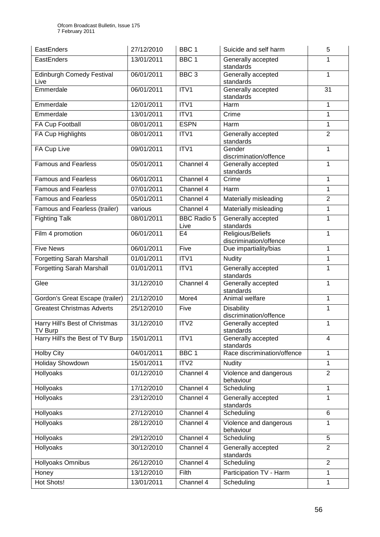| EastEnders                                       | 27/12/2010 | BBC <sub>1</sub>           | Suicide and self harm                       | 5              |
|--------------------------------------------------|------------|----------------------------|---------------------------------------------|----------------|
| EastEnders                                       | 13/01/2011 | BBC <sub>1</sub>           | Generally accepted<br>standards             |                |
| <b>Edinburgh Comedy Festival</b><br>Live         | 06/01/2011 | BBC <sub>3</sub>           | Generally accepted<br>standards             | 1              |
| Emmerdale                                        | 06/01/2011 | ITV1                       | Generally accepted<br>standards             | 31             |
| Emmerdale                                        | 12/01/2011 | ITV1                       | Harm                                        | 1              |
| Emmerdale                                        | 13/01/2011 | ITV1                       | Crime                                       | 1              |
| FA Cup Football                                  | 08/01/2011 | <b>ESPN</b>                | Harm                                        | 1              |
| FA Cup Highlights                                | 08/01/2011 | ITV1                       | Generally accepted<br>standards             | $\overline{2}$ |
| FA Cup Live                                      | 09/01/2011 | ITV1                       | Gender<br>discrimination/offence            | 1              |
| <b>Famous and Fearless</b>                       | 05/01/2011 | Channel 4                  | Generally accepted<br>standards             | 1              |
| <b>Famous and Fearless</b>                       | 06/01/2011 | Channel 4                  | Crime                                       | 1              |
| <b>Famous and Fearless</b>                       | 07/01/2011 | Channel 4                  | Harm                                        | 1              |
| <b>Famous and Fearless</b>                       | 05/01/2011 | Channel 4                  | Materially misleading                       | $\overline{2}$ |
| Famous and Fearless (trailer)                    | various    | Channel 4                  | Materially misleading                       | 1              |
| <b>Fighting Talk</b>                             | 08/01/2011 | <b>BBC Radio 5</b><br>Live | Generally accepted<br>standards             | 1              |
| Film 4 promotion                                 | 06/01/2011 | E <sub>4</sub>             | Religious/Beliefs<br>discrimination/offence | 1              |
| <b>Five News</b>                                 | 06/01/2011 | Five                       | Due impartiality/bias                       | 1              |
| <b>Forgetting Sarah Marshall</b>                 | 01/01/2011 | ITV1                       | <b>Nudity</b>                               | 1              |
| <b>Forgetting Sarah Marshall</b>                 | 01/01/2011 | ITV1                       | Generally accepted<br>standards             | 1              |
| Glee                                             | 31/12/2010 | Channel 4                  | Generally accepted<br>standards             | 1              |
| Gordon's Great Escape (trailer)                  | 21/12/2010 | More4                      | Animal welfare                              | 1              |
| <b>Greatest Christmas Adverts</b>                | 25/12/2010 | Five                       | Disability<br>discrimination/offence        | 1              |
| Harry Hill's Best of Christmas<br><b>TV Burp</b> | 31/12/2010 | ITV2                       | Generally accepted<br>standards             | 1              |
| Harry Hill's the Best of TV Burp                 | 15/01/2011 | ITV1                       | Generally accepted<br>standards             | 4              |
| <b>Holby City</b>                                | 04/01/2011 | BBC <sub>1</sub>           | Race discrimination/offence                 | 1              |
| <b>Holiday Showdown</b>                          | 15/01/2011 | ITV2                       | <b>Nudity</b>                               | 1              |
| Hollyoaks                                        | 01/12/2010 | Channel 4                  | Violence and dangerous<br>behaviour         | $\overline{2}$ |
| <b>Hollyoaks</b>                                 | 17/12/2010 | Channel 4                  | Scheduling                                  | 1              |
| Hollyoaks                                        | 23/12/2010 | Channel 4                  | Generally accepted<br>standards             | 1              |
| Hollyoaks                                        | 27/12/2010 | Channel 4                  | Scheduling                                  | 6              |
| Hollyoaks                                        | 28/12/2010 | Channel 4                  | Violence and dangerous<br>behaviour         | 1              |
| Hollyoaks                                        | 29/12/2010 | Channel 4                  | Scheduling                                  | 5              |
| Hollyoaks                                        | 30/12/2010 | Channel 4                  | Generally accepted<br>standards             | $\overline{2}$ |
| Hollyoaks Omnibus                                | 26/12/2010 | Channel 4                  | Scheduling                                  | $\overline{2}$ |
| Honey                                            | 13/12/2010 | Filth                      | Participation TV - Harm                     | 1              |
| Hot Shots!                                       | 13/01/2011 | Channel 4                  | Scheduling                                  | $\mathbf{1}$   |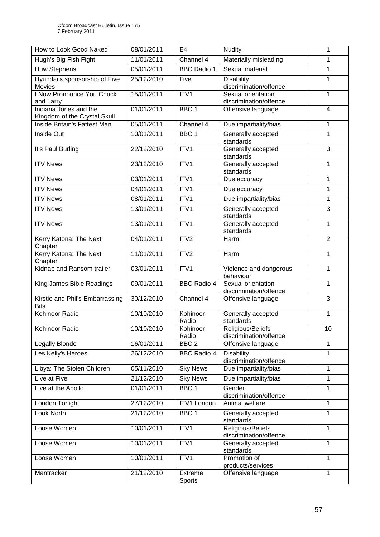| How to Look Good Naked                                | 08/01/2011 | E <sub>4</sub>     | <b>Nudity</b>                                | 1              |
|-------------------------------------------------------|------------|--------------------|----------------------------------------------|----------------|
| Hugh's Big Fish Fight                                 | 11/01/2011 | Channel 4          | Materially misleading                        | 1              |
| <b>Huw Stephens</b>                                   | 05/01/2011 | <b>BBC Radio 1</b> | Sexual material                              | 1              |
| Hyundai's sponsorship of Five<br><b>Movies</b>        | 25/12/2010 | Five               | <b>Disability</b><br>discrimination/offence  | 1              |
| I Now Pronounce You Chuck<br>and Larry                | 15/01/2011 | ITV1               | Sexual orientation<br>discrimination/offence | 1              |
| Indiana Jones and the<br>Kingdom of the Crystal Skull | 01/01/2011 | BBC <sub>1</sub>   | Offensive language                           | 4              |
| Inside Britain's Fattest Man                          | 05/01/2011 | Channel 4          | Due impartiality/bias                        | 1              |
| Inside Out                                            | 10/01/2011 | BBC <sub>1</sub>   | Generally accepted<br>standards              | 1              |
| It's Paul Burling                                     | 22/12/2010 | ITV1               | Generally accepted<br>standards              | 3              |
| <b>ITV News</b>                                       | 23/12/2010 | ITV1               | Generally accepted<br>standards              | 1              |
| <b>ITV News</b>                                       | 03/01/2011 | ITV1               | Due accuracy                                 | 1              |
| <b>ITV News</b>                                       | 04/01/2011 | ITV1               | Due accuracy                                 | 1              |
| <b>ITV News</b>                                       | 08/01/2011 | ITV1               | Due impartiality/bias                        | 1              |
| <b>ITV News</b>                                       | 13/01/2011 | ITV1               | Generally accepted<br>standards              | 3              |
| <b>ITV News</b>                                       | 13/01/2011 | ITV1               | Generally accepted<br>standards              | 1              |
| Kerry Katona: The Next<br>Chapter                     | 04/01/2011 | ITV2               | Harm                                         | $\overline{2}$ |
| Kerry Katona: The Next<br>Chapter                     | 11/01/2011 | ITV <sub>2</sub>   | Harm                                         | 1              |
| Kidnap and Ransom trailer                             | 03/01/2011 | ITV1               | Violence and dangerous<br>behaviour          | 1              |
| King James Bible Readings                             | 09/01/2011 | <b>BBC Radio 4</b> | Sexual orientation<br>discrimination/offence | 1              |
| Kirstie and Phil's Embarrassing<br><b>Bits</b>        | 30/12/2010 | Channel 4          | Offensive language                           | 3              |
| Kohinoor Radio                                        | 10/10/2010 | Kohinoor<br>Radio  | Generally accepted<br>standards              | 1              |
| Kohinoor Radio                                        | 10/10/2010 | Kohinoor<br>Radio  | Religious/Beliefs<br>discrimination/offence  | 10             |
| Legally Blonde                                        | 16/01/2011 | BBC <sub>2</sub>   | Offensive language                           | 1              |
| Les Kelly's Heroes                                    | 26/12/2010 | <b>BBC Radio 4</b> | <b>Disability</b><br>discrimination/offence  | 1              |
| Libya: The Stolen Children                            | 05/11/2010 | <b>Sky News</b>    | Due impartiality/bias                        | 1              |
| Live at Five                                          | 21/12/2010 | <b>Sky News</b>    | Due impartiality/bias                        | 1              |
| Live at the Apollo                                    | 01/01/2011 | BBC <sub>1</sub>   | Gender<br>discrimination/offence             | 1              |
| London Tonight                                        | 27/12/2010 | <b>ITV1</b> London | Animal welfare                               | 1              |
| Look North                                            | 21/12/2010 | BBC <sub>1</sub>   | Generally accepted<br>standards              | 1              |
| Loose Women                                           | 10/01/2011 | ITV1               | Religious/Beliefs<br>discrimination/offence  | 1              |
| Loose Women                                           | 10/01/2011 | ITV1               | Generally accepted<br>standards              | 1              |
| Loose Women                                           | 10/01/2011 | ITV1               | Promotion of<br>products/services            | 1              |
| Mantracker                                            | 21/12/2010 | Extreme<br>Sports  | Offensive language                           | 1              |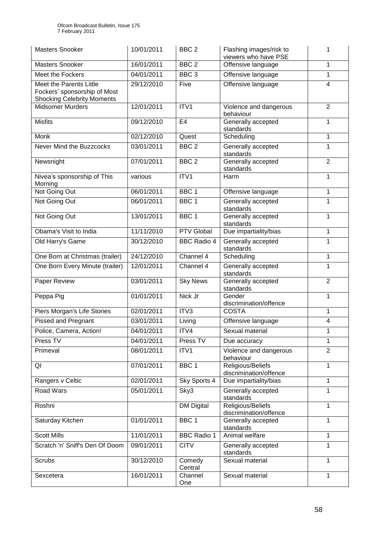| <b>Masters Snooker</b>                                                                       | 10/01/2011 | BBC <sub>2</sub>   | Flashing images/risk to<br>viewers who have PSE | 1              |
|----------------------------------------------------------------------------------------------|------------|--------------------|-------------------------------------------------|----------------|
| <b>Masters Snooker</b>                                                                       | 16/01/2011 | BBC <sub>2</sub>   | Offensive language                              | 1              |
| Meet the Fockers                                                                             | 04/01/2011 | BBC <sub>3</sub>   | Offensive language                              | 1              |
| Meet the Parents Little<br>Fockers' sponsorship of Most<br><b>Shocking Celebrity Moments</b> | 29/12/2010 | Five               | Offensive language                              | 4              |
| <b>Midsomer Murders</b>                                                                      | 12/01/2011 | ITV1               | Violence and dangerous<br>behaviour             | $\overline{2}$ |
| <b>Misfits</b>                                                                               | 09/12/2010 | E <sub>4</sub>     | Generally accepted<br>standards                 | 1              |
| Monk                                                                                         | 02/12/2010 | Quest              | Scheduling                                      | 1              |
| Never Mind the Buzzcocks                                                                     | 03/01/2011 | BBC <sub>2</sub>   | Generally accepted<br>standards                 | 1              |
| Newsnight                                                                                    | 07/01/2011 | BBC <sub>2</sub>   | Generally accepted<br>standards                 | $\overline{2}$ |
| Nivea's sponsorship of This<br>Morning                                                       | various    | ITV1               | Harm                                            | 1              |
| Not Going Out                                                                                | 06/01/2011 | BBC <sub>1</sub>   | Offensive language                              | 1              |
| Not Going Out                                                                                | 06/01/2011 | BBC <sub>1</sub>   | Generally accepted<br>standards                 | 1              |
| Not Going Out                                                                                | 13/01/2011 | BBC <sub>1</sub>   | Generally accepted<br>standards                 | 1              |
| Obama's Visit to India                                                                       | 11/11/2010 | <b>PTV Global</b>  | Due impartiality/bias                           | 1              |
| Old Harry's Game                                                                             | 30/12/2010 | <b>BBC Radio 4</b> | Generally accepted<br>standards                 | 1              |
| One Born at Christmas (trailer)                                                              | 24/12/2010 | Channel 4          | Scheduling                                      | 1              |
| One Born Every Minute (trailer)                                                              | 12/01/2011 | Channel 4          | Generally accepted<br>standards                 | 1              |
| Paper Review                                                                                 | 03/01/2011 | <b>Sky News</b>    | Generally accepted<br>standards                 | $\overline{2}$ |
| Peppa Pig                                                                                    | 01/01/2011 | Nick Jr            | Gender<br>discrimination/offence                | 1              |
| Piers Morgan's Life Stories                                                                  | 02/01/2011 | ITV3               | <b>COSTA</b>                                    | 1              |
| <b>Pissed and Pregnant</b>                                                                   | 03/01/2011 | Living             | Offensive language                              | 4              |
| Police, Camera, Action!                                                                      | 04/01/2011 | ITV4               | Sexual material                                 | $\mathbf 1$    |
| Press TV                                                                                     | 04/01/2011 | Press TV           | Due accuracy                                    | 1              |
| Primeval                                                                                     | 08/01/2011 | ITV1               | Violence and dangerous<br>behaviour             | $\overline{2}$ |
| QI                                                                                           | 07/01/2011 | BBC <sub>1</sub>   | Religious/Beliefs<br>discrimination/offence     | 1              |
| Rangers v Celtic                                                                             | 02/01/2011 | Sky Sports 4       | Due impartiality/bias                           | 1              |
| Road Wars                                                                                    | 05/01/2011 | Sky3               | Generally accepted<br>standards                 | 1              |
| Roshni                                                                                       |            | <b>DM Digital</b>  | Religious/Beliefs<br>discrimination/offence     | 1              |
| Saturday Kitchen                                                                             | 01/01/2011 | BBC <sub>1</sub>   | Generally accepted<br>standards                 | 1              |
| <b>Scott Mills</b>                                                                           | 11/01/2011 | <b>BBC Radio 1</b> | Animal welfare                                  | 1              |
| Scratch 'n' Sniff's Den Of Doom                                                              | 09/01/2011 | <b>CITV</b>        | Generally accepted<br>standards                 | 1              |
| Scrubs                                                                                       | 30/12/2010 | Comedy<br>Central  | Sexual material                                 | 1              |
| Sexcetera                                                                                    | 16/01/2011 | Channel<br>One     | Sexual material                                 | 1              |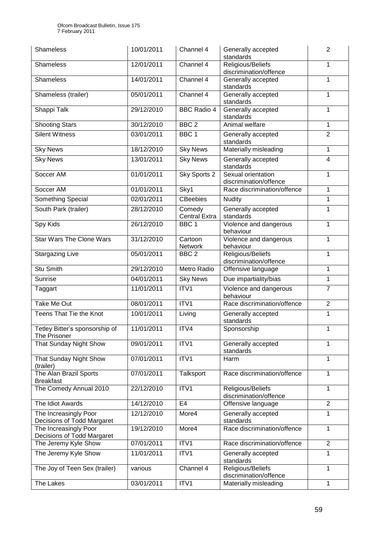| <b>Shameless</b>                                    | 10/01/2011 | Channel 4                      | Generally accepted<br>standards              | $\overline{2}$ |
|-----------------------------------------------------|------------|--------------------------------|----------------------------------------------|----------------|
| <b>Shameless</b>                                    | 12/01/2011 | Channel 4                      | Religious/Beliefs<br>discrimination/offence  | 1              |
| <b>Shameless</b>                                    | 14/01/2011 | Channel 4                      | Generally accepted<br>standards              | 1              |
| Shameless (trailer)                                 | 05/01/2011 | Channel 4                      | Generally accepted<br>standards              | 1              |
| Shappi Talk                                         | 29/12/2010 | <b>BBC Radio 4</b>             | Generally accepted<br>standards              | 1              |
| <b>Shooting Stars</b>                               | 30/12/2010 | BBC <sub>2</sub>               | Animal welfare                               | 1              |
| <b>Silent Witness</b>                               | 03/01/2011 | BBC <sub>1</sub>               | Generally accepted<br>standards              | $\overline{2}$ |
| <b>Sky News</b>                                     | 18/12/2010 | <b>Sky News</b>                | Materially misleading                        | 1              |
| <b>Sky News</b>                                     | 13/01/2011 | <b>Sky News</b>                | Generally accepted<br>standards              | $\overline{4}$ |
| Soccer AM                                           | 01/01/2011 | Sky Sports 2                   | Sexual orientation<br>discrimination/offence | 1              |
| Soccer AM                                           | 01/01/2011 | Sky1                           | Race discrimination/offence                  | 1              |
| Something Special                                   | 02/01/2011 | <b>CBeebies</b>                | <b>Nudity</b>                                | 1              |
| South Park (trailer)                                | 28/12/2010 | Comedy<br><b>Central Extra</b> | Generally accepted<br>standards              | 1              |
| Spy Kids                                            | 26/12/2010 | BBC1                           | Violence and dangerous<br>behaviour          | 1              |
| <b>Star Wars The Clone Wars</b>                     | 31/12/2010 | Cartoon<br><b>Network</b>      | Violence and dangerous<br>behaviour          | 1              |
| <b>Stargazing Live</b>                              | 05/01/2011 | BBC <sub>2</sub>               | Religious/Beliefs<br>discrimination/offence  | 1              |
| <b>Stu Smith</b>                                    | 29/12/2010 | Metro Radio                    | Offensive language                           | 1              |
| Sunrise                                             | 04/01/2011 | <b>Sky News</b>                | Due impartiality/bias                        | 1              |
| Taggart                                             | 11/01/2011 | ITV1                           | Violence and dangerous<br>behaviour          | $\overline{7}$ |
| Take Me Out                                         | 08/01/2011 | ITV1                           | Race discrimination/offence                  | $\overline{2}$ |
| Teens That Tie the Knot                             | 10/01/2011 | Living                         | Generally accepted<br>standards              | $\mathbf{1}$   |
| Tetley Bitter's sponsorship of<br>The Prisoner      | 11/01/2011 | ITV4                           | Sponsorship                                  | 1              |
| That Sunday Night Show                              | 09/01/2011 | ITV1                           | Generally accepted<br>standards              | 1              |
| That Sunday Night Show<br>(trailer)                 | 07/01/2011 | ITV1                           | Harm                                         | 1              |
| The Alan Brazil Sports<br><b>Breakfast</b>          | 07/01/2011 | Talksport                      | Race discrimination/offence                  | 1              |
| The Comedy Annual 2010                              | 22/12/2010 | ITV1                           | Religious/Beliefs<br>discrimination/offence  | 1              |
| The Idiot Awards                                    | 14/12/2010 | E <sub>4</sub>                 | Offensive language                           | $\overline{2}$ |
| The Increasingly Poor<br>Decisions of Todd Margaret | 12/12/2010 | More4                          | Generally accepted<br>standards              | 1              |
| The Increasingly Poor<br>Decisions of Todd Margaret | 19/12/2010 | More4                          | Race discrimination/offence                  | $\mathbf{1}$   |
| The Jeremy Kyle Show                                | 07/01/2011 | ITV1                           | Race discrimination/offence                  | $\overline{2}$ |
| The Jeremy Kyle Show                                | 11/01/2011 | ITV1                           | Generally accepted<br>standards              | $\mathbf{1}$   |
| The Joy of Teen Sex (trailer)                       | various    | Channel 4                      | Religious/Beliefs<br>discrimination/offence  | 1              |
| The Lakes                                           | 03/01/2011 | ITV1                           | Materially misleading                        | 1              |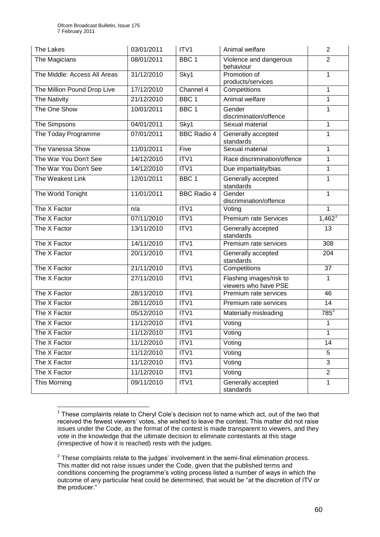| The Lakes                    | 03/01/2011 | ITV1               | Animal welfare                                  | $\overline{2}$ |
|------------------------------|------------|--------------------|-------------------------------------------------|----------------|
| The Magicians                | 08/01/2011 | BBC <sub>1</sub>   | Violence and dangerous<br>behaviour             | $\overline{2}$ |
| The Middle: Access All Areas | 31/12/2010 | Sky1               | Promotion of<br>products/services               | 1              |
| The Million Pound Drop Live  | 17/12/2010 | Channel 4          | Competitions                                    | 1              |
| <b>The Nativity</b>          | 21/12/2010 | BBC <sub>1</sub>   | Animal welfare                                  | 1              |
| The One Show                 | 10/01/2011 | BBC <sub>1</sub>   | Gender<br>discrimination/offence                | 1              |
| The Simpsons                 | 04/01/2011 | Sky1               | Sexual material                                 | 1              |
| The Today Programme          | 07/01/2011 | <b>BBC Radio 4</b> | Generally accepted<br>standards                 | $\mathbf{1}$   |
| The Vanessa Show             | 11/01/2011 | Five               | Sexual material                                 | 1              |
| The War You Don't See        | 14/12/2010 | ITV1               | Race discrimination/offence                     | $\mathbf{1}$   |
| The War You Don't See        | 14/12/2010 | ITV1               | Due impartiality/bias                           | 1              |
| The Weakest Link             | 12/01/2011 | BBC <sub>1</sub>   | Generally accepted<br>standards                 | 1              |
| The World Tonight            | 11/01/2011 | <b>BBC Radio 4</b> | Gender<br>discrimination/offence                | 1              |
| The X Factor                 | n/a        | ITV1               | Voting                                          | 1              |
| The X Factor                 | 07/11/2010 | ITV1               | <b>Premium rate Services</b>                    | $1,462^1$      |
| The X Factor                 | 13/11/2010 | ITV1               | Generally accepted<br>standards                 | 13             |
| The X Factor                 | 14/11/2010 | ITV1               | Premium rate services                           | 308            |
| The X Factor                 | 20/11/2010 | ITV1               | Generally accepted<br>standards                 | 204            |
| The X Factor                 | 21/11/2010 | ITV1               | Competitions                                    | 37             |
| The X Factor                 | 27/11/2010 | ITV1               | Flashing images/risk to<br>viewers who have PSE | 1              |
| The X Factor                 | 28/11/2010 | ITV1               | Premium rate services                           | 46             |
| The X Factor                 | 28/11/2010 | ITV1               | Premium rate services                           | 14             |
| The X Factor                 | 05/12/2010 | ITV1               | Materially misleading                           | $785^2$        |
| The X Factor                 | 11/12/2010 | ITV1               | Voting                                          | 1              |
| The X Factor                 | 11/12/2010 | ITV1               | Voting                                          | 1              |
| The X Factor                 | 11/12/2010 | ITV1               | Voting                                          | 14             |
| The X Factor                 | 11/12/2010 | ITV1               | Voting                                          | 5              |
| The X Factor                 | 11/12/2010 | ITV1               | Voting                                          | 3              |
| The X Factor                 | 11/12/2010 | ITV1               | Voting                                          | $\overline{2}$ |
| This Morning                 | 09/11/2010 | ITV1               | Generally accepted<br>standards                 | $\mathbf{1}$   |

<sup>1</sup>  $1$  These complaints relate to Cheryl Cole's decision not to name which act, out of the two that received the fewest viewers' votes, she wished to leave the contest. This matter did not raise issues under the Code, as the format of the contest is made transparent to viewers, and they vote in the knowledge that the ultimate decision to eliminate contestants at this stage (irrespective of how it is reached) rests with the judges.

 $2$  These complaints relate to the judges' involvement in the semi-final elimination process. This matter did not raise issues under the Code, given that the published terms and conditions concerning the programme"s voting process listed a number of ways in which the outcome of any particular heat could be determined, that would be "at the discretion of ITV or the producer."